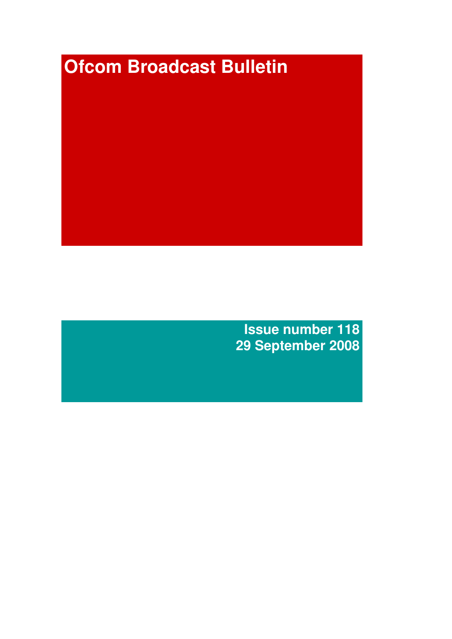# **Ofcom Broadcast Bulletin**

**Issue number 118 29 September 2008**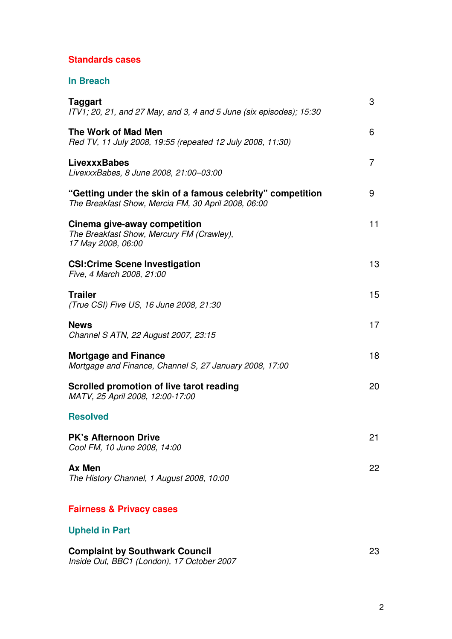# **Standards cases**

**In Breach**

| <b>Taggart</b><br>ITV1; 20, 21, and 27 May, and 3, 4 and 5 June (six episodes); 15:30                             | 3  |
|-------------------------------------------------------------------------------------------------------------------|----|
| The Work of Mad Men<br>Red TV, 11 July 2008, 19:55 (repeated 12 July 2008, 11:30)                                 | 6  |
| LivexxxBabes<br>LivexxxBabes, 8 June 2008, 21:00-03:00                                                            | 7  |
| "Getting under the skin of a famous celebrity" competition<br>The Breakfast Show, Mercia FM, 30 April 2008, 06:00 | 9  |
| Cinema give-away competition<br>The Breakfast Show, Mercury FM (Crawley),<br>17 May 2008, 06:00                   | 11 |
| <b>CSI: Crime Scene Investigation</b><br>Five, 4 March 2008, 21:00                                                | 13 |
| <b>Trailer</b><br>(True CSI) Five US, 16 June 2008, 21:30                                                         | 15 |
| <b>News</b><br>Channel S ATN, 22 August 2007, 23:15                                                               | 17 |
| <b>Mortgage and Finance</b><br>Mortgage and Finance, Channel S, 27 January 2008, 17:00                            | 18 |
| Scrolled promotion of live tarot reading<br>MATV, 25 April 2008, 12:00-17:00                                      | 20 |
| <b>Resolved</b>                                                                                                   |    |
| <b>PK's Afternoon Drive</b><br>Cool FM, 10 June 2008, 14:00                                                       | 21 |
| <b>Ax Men</b><br>The History Channel, 1 August 2008, 10:00                                                        | 22 |
| <b>Fairness &amp; Privacy cases</b>                                                                               |    |
| <b>Upheld in Part</b>                                                                                             |    |

| <b>Complaint by Southwark Council</b>      | 23 |
|--------------------------------------------|----|
| Inside Out, BBC1 (London), 17 October 2007 |    |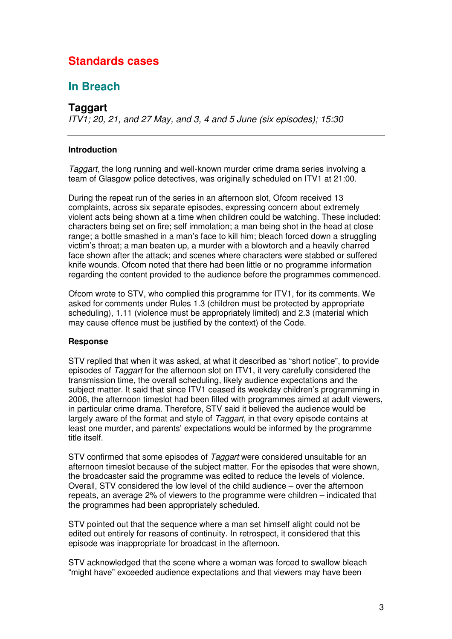# **Standards cases**

# **In Breach**

# **Taggart**

*ITV1; 20, 21, and 27 May, and 3, 4 and 5 June (six episodes); 15:30*

# **Introduction**

*Taggart*, the long running and well-known murder crime drama series involving a team of Glasgow police detectives, was originally scheduled on ITV1 at 21:00.

During the repeat run of the series in an afternoon slot, Ofcom received 13 complaints, across six separate episodes, expressing concern about extremely violent acts being shown at a time when children could be watching. These included: characters being set on fire; self immolation; a man being shot in the head at close range; a bottle smashed in a man's face to kill him; bleach forced down a struggling victim's throat; a man beaten up, a murder with a blowtorch and a heavily charred face shown after the attack; and scenes where characters were stabbed or suffered knife wounds. Ofcom noted that there had been little or no programme information regarding the content provided to the audience before the programmes commenced.

Ofcom wrote to STV, who complied this programme for ITV1, for its comments. We asked for comments under Rules 1.3 (children must be protected by appropriate scheduling), 1.11 (violence must be appropriately limited) and 2.3 (material which may cause offence must be justified by the context) of the Code.

# **Response**

STV replied that when it was asked, at what it described as "short notice", to provide episodes of *Taggart* for the afternoon slot on ITV1, it very carefully considered the transmission time, the overall scheduling, likely audience expectations and the subject matter. It said that since ITV1 ceased its weekday children's programming in 2006, the afternoon timeslot had been filled with programmes aimed at adult viewers, in particular crime drama. Therefore, STV said it believed the audience would be largely aware of the format and style of *Taggart,* in that every episode contains at least one murder, and parents' expectations would be informed by the programme title itself.

STV confirmed that some episodes of *Taggart* were considered unsuitable for an afternoon timeslot because of the subject matter. For the episodes that were shown, the broadcaster said the programme was edited to reduce the levels of violence. Overall, STV considered the low level of the child audience – over the afternoon repeats, an average 2% of viewers to the programme were children – indicated that the programmes had been appropriately scheduled.

STV pointed out that the sequence where a man set himself alight could not be edited out entirely for reasons of continuity. In retrospect, it considered that this episode was inappropriate for broadcast in the afternoon.

STV acknowledged that the scene where a woman was forced to swallow bleach "might have" exceeded audience expectations and that viewers may have been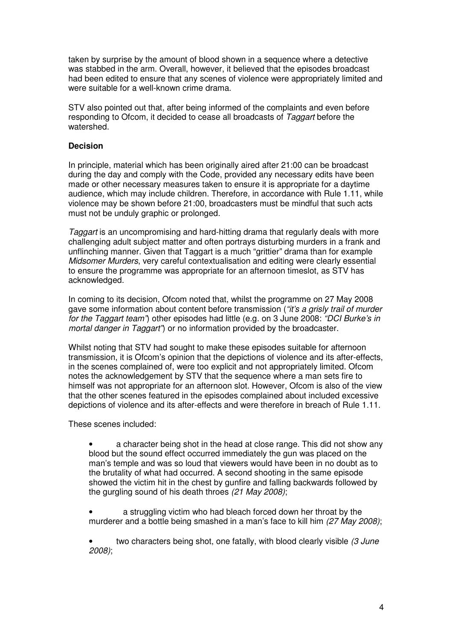taken by surprise by the amount of blood shown in a sequence where a detective was stabbed in the arm. Overall, however, it believed that the episodes broadcast had been edited to ensure that any scenes of violence were appropriately limited and were suitable for a well-known crime drama.

STV also pointed out that, after being informed of the complaints and even before responding to Ofcom, it decided to cease all broadcasts of *Taggart* before the watershed.

# **Decision**

In principle, material which has been originally aired after 21:00 can be broadcast during the day and comply with the Code, provided any necessary edits have been made or other necessary measures taken to ensure it is appropriate for a daytime audience, which may include children. Therefore, in accordance with Rule 1.11, while violence may be shown before 21:00, broadcasters must be mindful that such acts must not be unduly graphic or prolonged.

*Taggart* is an uncompromising and hard-hitting drama that regularly deals with more challenging adult subject matter and often portrays disturbing murders in a frank and unflinching manner. Given that Taggart is a much "grittier" drama than for example *Midsomer Murders*, very careful contextualisation and editing were clearly essential to ensure the programme was appropriate for an afternoon timeslot, as STV has acknowledged.

In coming to its decision, Ofcom noted that, whilst the programme on 27 May 2008 gave some information about content before transmission (*"it's a grisly trail of murder for the Taggart team"*) other episodes had little (e.g. on 3 June 2008: *"DCI Burke's in mortal danger in Taggart"*) or no information provided by the broadcaster.

Whilst noting that STV had sought to make these episodes suitable for afternoon transmission, it is Ofcom's opinion that the depictions of violence and its after-effects, in the scenes complained of, were too explicit and not appropriately limited. Ofcom notes the acknowledgement by STV that the sequence where a man sets fire to himself was not appropriate for an afternoon slot. However, Ofcom is also of the view that the other scenes featured in the episodes complained about included excessive depictions of violence and its after-effects and were therefore in breach of Rule 1.11.

These scenes included:

- a character being shot in the head at close range. This did not show any blood but the sound effect occurred immediately the gun was placed on the man's temple and was so loud that viewers would have been in no doubt as to the brutality of what had occurred. A second shooting in the same episode showed the victim hit in the chest by gunfire and falling backwards followed by the gurgling sound of his death throes *(21 May 2008)*;
- a struggling victim who had bleach forced down her throat by the murderer and a bottle being smashed in a man's face to kill him *(27 May 2008)*;

• two characters being shot, one fatally, with blood clearly visible *(3 June 2008)*;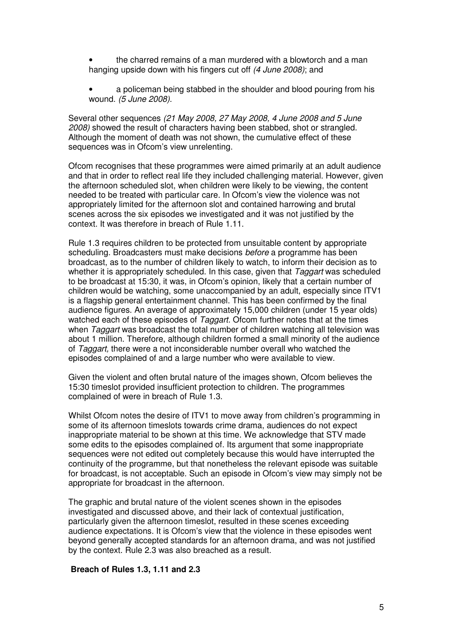- the charred remains of a man murdered with a blowtorch and a man hanging upside down with his fingers cut off *(4 June 2008)*; and
- a policeman being stabbed in the shoulder and blood pouring from his wound. *(5 June 2008)*.

Several other sequences *(21 May 2008, 27 May 2008, 4 June 2008 and 5 June 2008)* showed the result of characters having been stabbed, shot or strangled. Although the moment of death was not shown, the cumulative effect of these sequences was in Ofcom's view unrelenting.

Ofcom recognises that these programmes were aimed primarily at an adult audience and that in order to reflect real life they included challenging material. However, given the afternoon scheduled slot, when children were likely to be viewing, the content needed to be treated with particular care. In Ofcom's view the violence was not appropriately limited for the afternoon slot and contained harrowing and brutal scenes across the six episodes we investigated and it was not justified by the context. It was therefore in breach of Rule 1.11.

Rule 1.3 requires children to be protected from unsuitable content by appropriate scheduling. Broadcasters must make decisions *before* a programme has been broadcast, as to the number of children likely to watch, to inform their decision as to whether it is appropriately scheduled. In this case, given that *Taggart* was scheduled to be broadcast at 15:30, it was, in Ofcom's opinion, likely that a certain number of children would be watching, some unaccompanied by an adult, especially since ITV1 is a flagship general entertainment channel. This has been confirmed by the final audience figures. An average of approximately 15,000 children (under 15 year olds) watched each of these episodes of *Taggart*. Ofcom further notes that at the times when *Taggart* was broadcast the total number of children watching all television was about 1 million. Therefore, although children formed a small minority of the audience of *Taggart,* there were a not inconsiderable number overall who watched the episodes complained of and a large number who were available to view.

Given the violent and often brutal nature of the images shown, Ofcom believes the 15:30 timeslot provided insufficient protection to children. The programmes complained of were in breach of Rule 1.3.

Whilst Ofcom notes the desire of ITV1 to move away from children's programming in some of its afternoon timeslots towards crime drama, audiences do not expect inappropriate material to be shown at this time. We acknowledge that STV made some edits to the episodes complained of. Its argument that some inappropriate sequences were not edited out completely because this would have interrupted the continuity of the programme, but that nonetheless the relevant episode was suitable for broadcast, is not acceptable. Such an episode in Ofcom's view may simply not be appropriate for broadcast in the afternoon.

The graphic and brutal nature of the violent scenes shown in the episodes investigated and discussed above, and their lack of contextual justification, particularly given the afternoon timeslot, resulted in these scenes exceeding audience expectations. It is Ofcom's view that the violence in these episodes went beyond generally accepted standards for an afternoon drama, and was not justified by the context. Rule 2.3 was also breached as a result.

# **Breach of Rules 1.3, 1.11 and 2.3**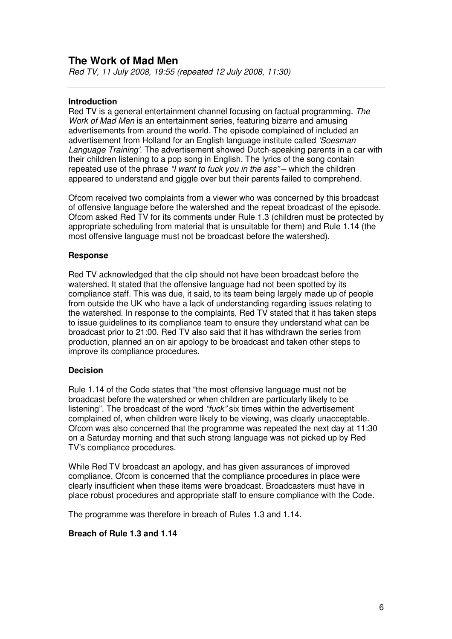# **The Work of Mad Men**

*Red TV, 11 July 2008, 19:55 (repeated 12 July 2008, 11:30)*

# **Introduction**

Red TV is a general entertainment channel focusing on factual programming. *The Work of Mad Men* is an entertainment series, featuring bizarre and amusing advertisements from around the world. The episode complained of included an advertisement from Holland for an English language institute called *'Soesman Language Training'.* The advertisement showed Dutch-speaking parents in a car with their children listening to a pop song in English. The lyrics of the song contain repeated use of the phrase *"I want to fuck you in the ass"* – which the children appeared to understand and giggle over but their parents failed to comprehend*.*

Ofcom received two complaints from a viewer who was concerned by this broadcast of offensive language before the watershed and the repeat broadcast of the episode. Ofcom asked Red TV for its comments under Rule 1.3 (children must be protected by appropriate scheduling from material that is unsuitable for them) and Rule 1.14 (the most offensive language must not be broadcast before the watershed).

#### **Response**

Red TV acknowledged that the clip should not have been broadcast before the watershed. It stated that the offensive language had not been spotted by its compliance staff. This was due, it said, to its team being largely made up of people from outside the UK who have a lack of understanding regarding issues relating to the watershed. In response to the complaints, Red TV stated that it has taken steps to issue guidelines to its compliance team to ensure they understand what can be broadcast prior to 21:00. Red TV also said that it has withdrawn the series from production, planned an on air apology to be broadcast and taken other steps to improve its compliance procedures.

# **Decision**

Rule 1.14 of the Code states that "the most offensive language must not be broadcast before the watershed or when children are particularly likely to be listening". The broadcast of the word *"fuck"* six times within the advertisement complained of, when children were likely to be viewing, was clearly unacceptable. Ofcom was also concerned that the programme was repeated the next day at 11:30 on a Saturday morning and that such strong language was not picked up by Red TV's compliance procedures.

While Red TV broadcast an apology, and has given assurances of improved compliance, Ofcom is concerned that the compliance procedures in place were clearly insufficient when these items were broadcast. Broadcasters must have in place robust procedures and appropriate staff to ensure compliance with the Code.

The programme was therefore in breach of Rules 1.3 and 1.14.

#### **Breach of Rule 1.3 and 1.14**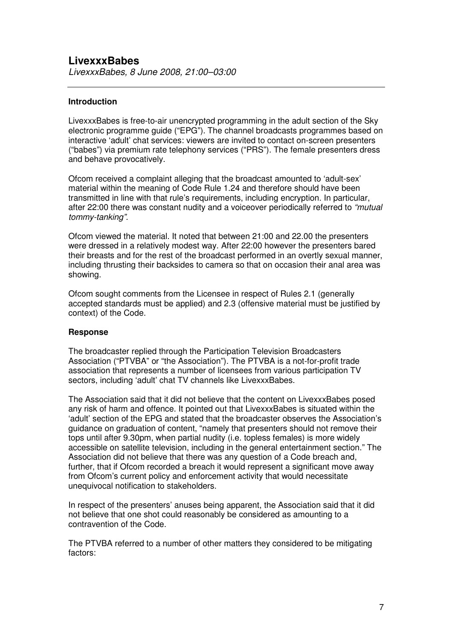*LivexxxBabes, 8 June 2008, 21:00–03:00*

# **Introduction**

LivexxxBabes is free-to-air unencrypted programming in the adult section of the Sky electronic programme guide ("EPG"). The channel broadcasts programmes based on interactive 'adult' chat services: viewers are invited to contact on-screen presenters ("babes") via premium rate telephony services ("PRS"). The female presenters dress and behave provocatively.

Ofcom received a complaint alleging that the broadcast amounted to 'adult-sex' material within the meaning of Code Rule 1.24 and therefore should have been transmitted in line with that rule's requirements, including encryption. In particular, after 22:00 there was constant nudity and a voiceover periodically referred to *"mutual tommy-tanking".*

Ofcom viewed the material. It noted that between 21:00 and 22.00 the presenters were dressed in a relatively modest way. After 22:00 however the presenters bared their breasts and for the rest of the broadcast performed in an overtly sexual manner, including thrusting their backsides to camera so that on occasion their anal area was showing.

Ofcom sought comments from the Licensee in respect of Rules 2.1 (generally accepted standards must be applied) and 2.3 (offensive material must be justified by context) of the Code.

# **Response**

The broadcaster replied through the Participation Television Broadcasters Association ("PTVBA" or "the Association"). The PTVBA is a not-for-profit trade association that represents a number of licensees from various participation TV sectors, including 'adult' chat TV channels like LivexxxBabes.

The Association said that it did not believe that the content on LivexxxBabes posed any risk of harm and offence. It pointed out that LivexxxBabes is situated within the 'adult' section of the EPG and stated that the broadcaster observes the Association's guidance on graduation of content, "namely that presenters should not remove their tops until after 9.30pm, when partial nudity (i.e. topless females) is more widely accessible on satellite television, including in the general entertainment section." The Association did not believe that there was any question of a Code breach and, further, that if Ofcom recorded a breach it would represent a significant move away from Ofcom's current policy and enforcement activity that would necessitate unequivocal notification to stakeholders.

In respect of the presenters' anuses being apparent, the Association said that it did not believe that one shot could reasonably be considered as amounting to a contravention of the Code.

The PTVBA referred to a number of other matters they considered to be mitigating factors: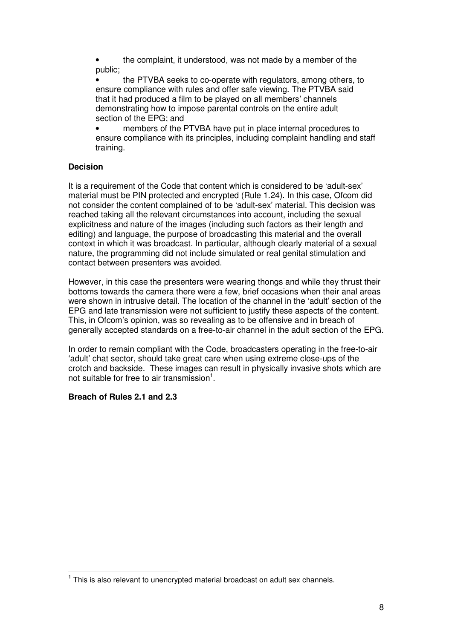• the complaint, it understood, was not made by a member of the public;

• the PTVBA seeks to co-operate with regulators, among others, to ensure compliance with rules and offer safe viewing. The PTVBA said that it had produced a film to be played on all members' channels demonstrating how to impose parental controls on the entire adult section of the EPG; and

• members of the PTVBA have put in place internal procedures to ensure compliance with its principles, including complaint handling and staff training.

# **Decision**

It is a requirement of the Code that content which is considered to be 'adult-sex' material must be PIN protected and encrypted (Rule 1.24). In this case, Ofcom did not consider the content complained of to be 'adult-sex' material. This decision was reached taking all the relevant circumstances into account, including the sexual explicitness and nature of the images (including such factors as their length and editing) and language, the purpose of broadcasting this material and the overall context in which it was broadcast. In particular, although clearly material of a sexual nature, the programming did not include simulated or real genital stimulation and contact between presenters was avoided.

However, in this case the presenters were wearing thongs and while they thrust their bottoms towards the camera there were a few, brief occasions when their anal areas were shown in intrusive detail. The location of the channel in the 'adult' section of the EPG and late transmission were not sufficient to justify these aspects of the content. This, in Ofcom's opinion, was so revealing as to be offensive and in breach of generally accepted standards on a free-to-air channel in the adult section of the EPG.

In order to remain compliant with the Code, broadcasters operating in the free-to-air 'adult' chat sector, should take great care when using extreme close-ups of the crotch and backside. These images can result in physically invasive shots which are not suitable for free to air transmission<sup>1</sup>.

# **Breach of Rules 2.1 and 2.3**

<sup>&</sup>lt;sup>1</sup> This is also relevant to unencrypted material broadcast on adult sex channels.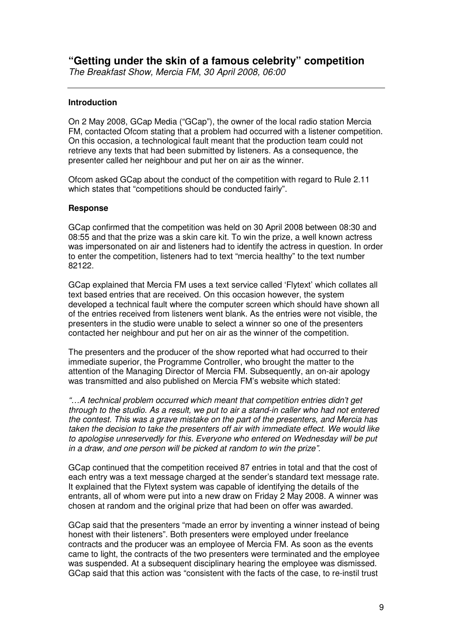*The Breakfast Show, Mercia FM*, *30 April 2008, 06:00*

# **Introduction**

On 2 May 2008, GCap Media ("GCap"), the owner of the local radio station Mercia FM, contacted Ofcom stating that a problem had occurred with a listener competition. On this occasion, a technological fault meant that the production team could not retrieve any texts that had been submitted by listeners. As a consequence, the presenter called her neighbour and put her on air as the winner.

Ofcom asked GCap about the conduct of the competition with regard to Rule 2.11 which states that "competitions should be conducted fairly".

# **Response**

GCap confirmed that the competition was held on 30 April 2008 between 08:30 and 08:55 and that the prize was a skin care kit. To win the prize, a well known actress was impersonated on air and listeners had to identify the actress in question. In order to enter the competition, listeners had to text "mercia healthy" to the text number 82122.

GCap explained that Mercia FM uses a text service called 'Flytext' which collates all text based entries that are received. On this occasion however, the system developed a technical fault where the computer screen which should have shown all of the entries received from listeners went blank. As the entries were not visible, the presenters in the studio were unable to select a winner so one of the presenters contacted her neighbour and put her on air as the winner of the competition.

The presenters and the producer of the show reported what had occurred to their immediate superior, the Programme Controller, who brought the matter to the attention of the Managing Director of Mercia FM. Subsequently, an on-air apology was transmitted and also published on Mercia FM's website which stated:

*"…A technical problem occurred which meant that competition entries didn't get through to the studio. As a result, we put to air a stand-in caller who had not entered the contest. This was a grave mistake on the part of the presenters, and Mercia has taken the decision to take the presenters off air with immediate effect. We would like to apologise unreservedly for this. Everyone who entered on Wednesday will be put in a draw, and one person will be picked at random to win the prize".*

GCap continued that the competition received 87 entries in total and that the cost of each entry was a text message charged at the sender's standard text message rate. It explained that the Flytext system was capable of identifying the details of the entrants, all of whom were put into a new draw on Friday 2 May 2008. A winner was chosen at random and the original prize that had been on offer was awarded.

GCap said that the presenters "made an error by inventing a winner instead of being honest with their listeners". Both presenters were employed under freelance contracts and the producer was an employee of Mercia FM. As soon as the events came to light, the contracts of the two presenters were terminated and the employee was suspended. At a subsequent disciplinary hearing the employee was dismissed. GCap said that this action was "consistent with the facts of the case, to re-instil trust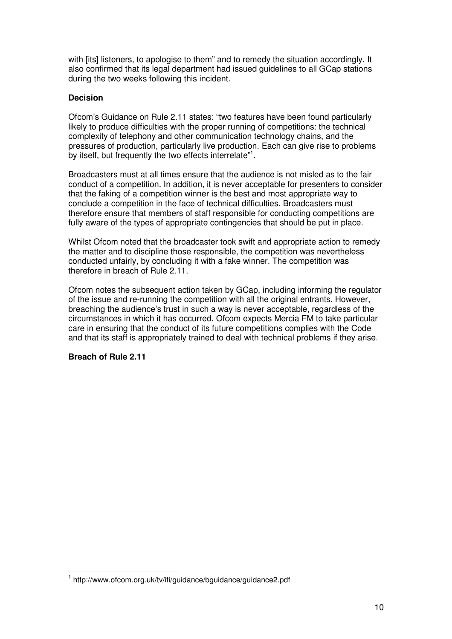with [its] listeners, to apologise to them" and to remedy the situation accordingly. It also confirmed that its legal department had issued guidelines to all GCap stations during the two weeks following this incident.

# **Decision**

Ofcom's Guidance on Rule 2.11 states: "two features have been found particularly likely to produce difficulties with the proper running of competitions: the technical complexity of telephony and other communication technology chains, and the pressures of production, particularly live production. Each can give rise to problems by itself, but frequently the two effects interrelate"<sup>1</sup>.

Broadcasters must at all times ensure that the audience is not misled as to the fair conduct of a competition. In addition, it is never acceptable for presenters to consider that the faking of a competition winner is the best and most appropriate way to conclude a competition in the face of technical difficulties. Broadcasters must therefore ensure that members of staff responsible for conducting competitions are fully aware of the types of appropriate contingencies that should be put in place.

Whilst Ofcom noted that the broadcaster took swift and appropriate action to remedy the matter and to discipline those responsible, the competition was nevertheless conducted unfairly, by concluding it with a fake winner. The competition was therefore in breach of Rule 2.11.

Ofcom notes the subsequent action taken by GCap, including informing the regulator of the issue and re-running the competition with all the original entrants. However, breaching the audience's trust in such a way is never acceptable, regardless of the circumstances in which it has occurred. Ofcom expects Mercia FM to take particular care in ensuring that the conduct of its future competitions complies with the Code and that its staff is appropriately trained to deal with technical problems if they arise.

**Breach of Rule 2.11**

<sup>1</sup> http://www.ofcom.org.uk/tv/ifi/guidance/bguidance/guidance2.pdf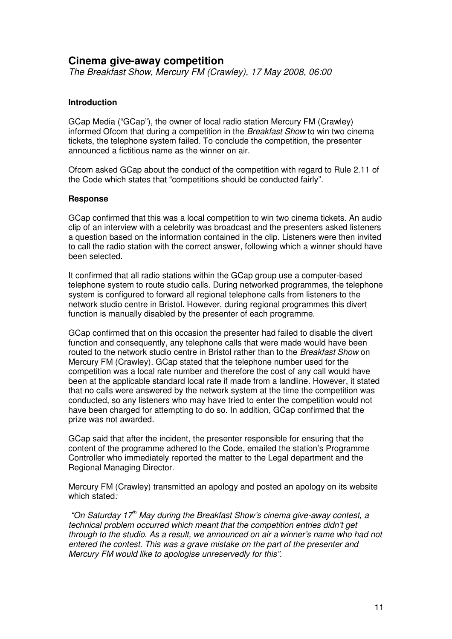*The Breakfast Show, Mercury FM (Crawley), 17 May 2008, 06:00*

# **Introduction**

GCap Media ("GCap"), the owner of local radio station Mercury FM (Crawley) informed Ofcom that during a competition in the *Breakfast Show* to win two cinema tickets, the telephone system failed. To conclude the competition, the presenter announced a fictitious name as the winner on air.

Ofcom asked GCap about the conduct of the competition with regard to Rule 2.11 of the Code which states that "competitions should be conducted fairly".

# **Response**

GCap confirmed that this was a local competition to win two cinema tickets. An audio clip of an interview with a celebrity was broadcast and the presenters asked listeners a question based on the information contained in the clip. Listeners were then invited to call the radio station with the correct answer, following which a winner should have been selected.

It confirmed that all radio stations within the GCap group use a computer-based telephone system to route studio calls. During networked programmes, the telephone system is configured to forward all regional telephone calls from listeners to the network studio centre in Bristol. However, during regional programmes this divert function is manually disabled by the presenter of each programme.

GCap confirmed that on this occasion the presenter had failed to disable the divert function and consequently, any telephone calls that were made would have been routed to the network studio centre in Bristol rather than to the *Breakfast Show* on Mercury FM (Crawley). GCap stated that the telephone number used for the competition was a local rate number and therefore the cost of any call would have been at the applicable standard local rate if made from a landline. However, it stated that no calls were answered by the network system at the time the competition was conducted, so any listeners who may have tried to enter the competition would not have been charged for attempting to do so. In addition, GCap confirmed that the prize was not awarded.

GCap said that after the incident, the presenter responsible for ensuring that the content of the programme adhered to the Code, emailed the station's Programme Controller who immediately reported the matter to the Legal department and the Regional Managing Director.

Mercury FM (Crawley) transmitted an apology and posted an apology on its website which stated*:*

*"On Saturday 17 th May during the Breakfast Show's cinema give-away contest, a technical problem occurred which meant that the competition entries didn't get through to the studio. As a result, we announced on air a winner's name who had not entered the contest. This was a grave mistake on the part of the presenter and Mercury FM would like to apologise unreservedly for this".*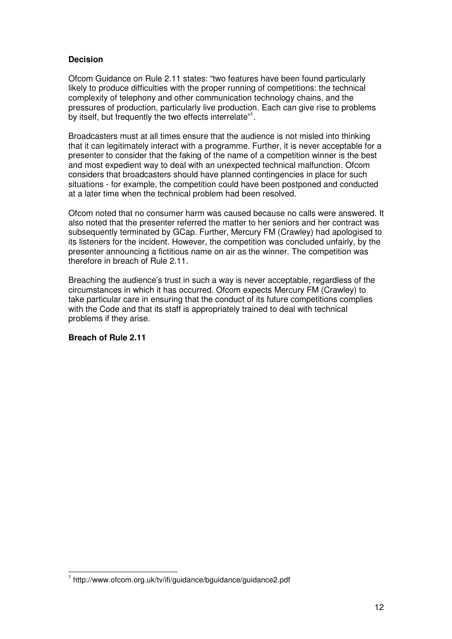# **Decision**

Ofcom Guidance on Rule 2.11 states: "two features have been found particularly likely to produce difficulties with the proper running of competitions: the technical complexity of telephony and other communication technology chains, and the pressures of production, particularly live production. Each can give rise to problems by itself, but frequently the two effects interrelate"<sup>1</sup>.

Broadcasters must at all times ensure that the audience is not misled into thinking that it can legitimately interact with a programme. Further, it is never acceptable for a presenter to consider that the faking of the name of a competition winner is the best and most expedient way to deal with an unexpected technical malfunction. Ofcom considers that broadcasters should have planned contingencies in place for such situations - for example, the competition could have been postponed and conducted at a later time when the technical problem had been resolved.

Ofcom noted that no consumer harm was caused because no calls were answered. It also noted that the presenter referred the matter to her seniors and her contract was subsequently terminated by GCap. Further, Mercury FM (Crawley) had apologised to its listeners for the incident. However, the competition was concluded unfairly, by the presenter announcing a fictitious name on air as the winner. The competition was therefore in breach of Rule 2.11.

Breaching the audience's trust in such a way is never acceptable, regardless of the circumstances in which it has occurred. Ofcom expects Mercury FM (Crawley) to take particular care in ensuring that the conduct of its future competitions complies with the Code and that its staff is appropriately trained to deal with technical problems if they arise.

# **Breach of Rule 2.11**

<sup>1</sup> http://www.ofcom.org.uk/tv/ifi/guidance/bguidance/guidance2.pdf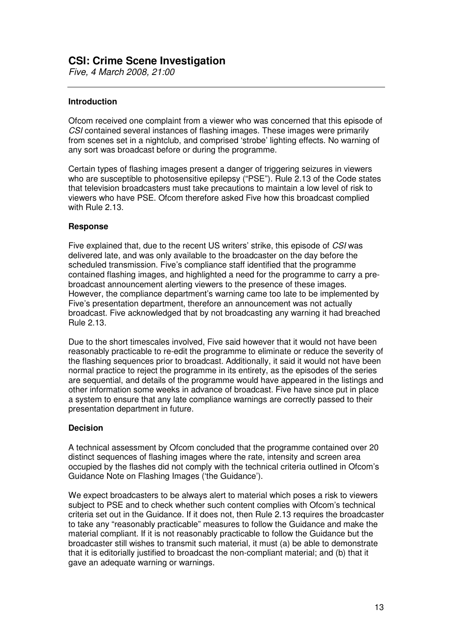# **CSI: Crime Scene Investigation**

*Five, 4 March 2008, 21:00*

# **Introduction**

Ofcom received one complaint from a viewer who was concerned that this episode of *CSI* contained several instances of flashing images. These images were primarily from scenes set in a nightclub, and comprised 'strobe' lighting effects. No warning of any sort was broadcast before or during the programme.

Certain types of flashing images present a danger of triggering seizures in viewers who are susceptible to photosensitive epilepsy ("PSE"). Rule 2.13 of the Code states that television broadcasters must take precautions to maintain a low level of risk to viewers who have PSE. Ofcom therefore asked Five how this broadcast complied with Rule 2.13

# **Response**

Five explained that, due to the recent US writers' strike, this episode of *CSI* was delivered late, and was only available to the broadcaster on the day before the scheduled transmission. Five's compliance staff identified that the programme contained flashing images, and highlighted a need for the programme to carry a prebroadcast announcement alerting viewers to the presence of these images. However, the compliance department's warning came too late to be implemented by Five's presentation department, therefore an announcement was not actually broadcast. Five acknowledged that by not broadcasting any warning it had breached Rule 2.13.

Due to the short timescales involved, Five said however that it would not have been reasonably practicable to re-edit the programme to eliminate or reduce the severity of the flashing sequences prior to broadcast. Additionally, it said it would not have been normal practice to reject the programme in its entirety, as the episodes of the series are sequential, and details of the programme would have appeared in the listings and other information some weeks in advance of broadcast. Five have since put in place a system to ensure that any late compliance warnings are correctly passed to their presentation department in future.

# **Decision**

A technical assessment by Ofcom concluded that the programme contained over 20 distinct sequences of flashing images where the rate, intensity and screen area occupied by the flashes did not comply with the technical criteria outlined in Ofcom's Guidance Note on Flashing Images ('the Guidance').

We expect broadcasters to be always alert to material which poses a risk to viewers subject to PSE and to check whether such content complies with Ofcom's technical criteria set out in the Guidance. If it does not, then Rule 2.13 requires the broadcaster to take any "reasonably practicable" measures to follow the Guidance and make the material compliant. If it is not reasonably practicable to follow the Guidance but the broadcaster still wishes to transmit such material, it must (a) be able to demonstrate that it is editorially justified to broadcast the non-compliant material; and (b) that it gave an adequate warning or warnings.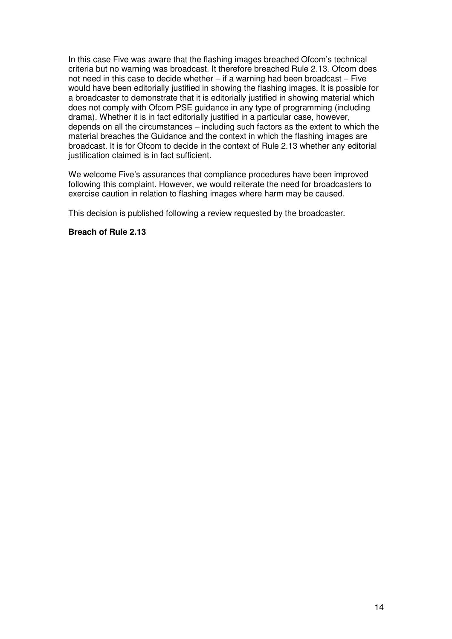In this case Five was aware that the flashing images breached Ofcom's technical criteria but no warning was broadcast. It therefore breached Rule 2.13. Ofcom does not need in this case to decide whether – if a warning had been broadcast – Five would have been editorially justified in showing the flashing images. It is possible for a broadcaster to demonstrate that it is editorially justified in showing material which does not comply with Ofcom PSE guidance in any type of programming (including drama). Whether it is in fact editorially justified in a particular case, however, depends on all the circumstances – including such factors as the extent to which the material breaches the Guidance and the context in which the flashing images are broadcast. It is for Ofcom to decide in the context of Rule 2.13 whether any editorial justification claimed is in fact sufficient.

We welcome Five's assurances that compliance procedures have been improved following this complaint. However, we would reiterate the need for broadcasters to exercise caution in relation to flashing images where harm may be caused.

This decision is published following a review requested by the broadcaster.

#### **Breach of Rule 2.13**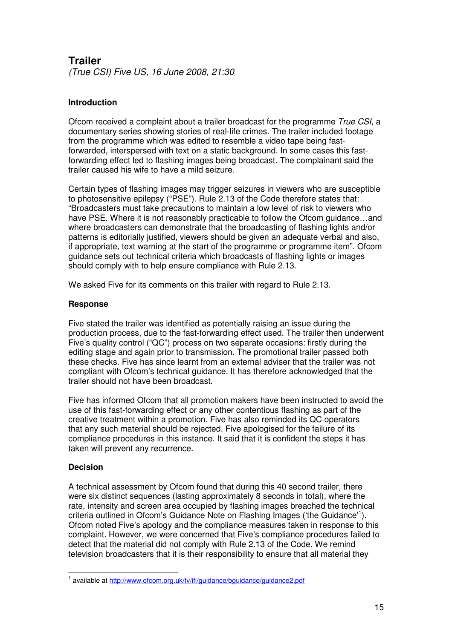# **Introduction**

Ofcom received a complaint about a trailer broadcast for the programme *True CSI*, a documentary series showing stories of real-life crimes. The trailer included footage from the programme which was edited to resemble a video tape being fastforwarded, interspersed with text on a static background. In some cases this fastforwarding effect led to flashing images being broadcast. The complainant said the trailer caused his wife to have a mild seizure.

Certain types of flashing images may trigger seizures in viewers who are susceptible to photosensitive epilepsy ("PSE"). Rule 2.13 of the Code therefore states that: "Broadcasters must take precautions to maintain a low level of risk to viewers who have PSE. Where it is not reasonably practicable to follow the Ofcom guidance...and where broadcasters can demonstrate that the broadcasting of flashing lights and/or patterns is editorially justified, viewers should be given an adequate verbal and also, if appropriate, text warning at the start of the programme or programme item". Ofcom guidance sets out technical criteria which broadcasts of flashing lights or images should comply with to help ensure compliance with Rule 2.13.

We asked Five for its comments on this trailer with regard to Rule 2.13.

# **Response**

Five stated the trailer was identified as potentially raising an issue during the production process, due to the fast-forwarding effect used. The trailer then underwent Five's quality control ("QC") process on two separate occasions: firstly during the editing stage and again prior to transmission. The promotional trailer passed both these checks. Five has since learnt from an external adviser that the trailer was not compliant with Ofcom's technical guidance. It has therefore acknowledged that the trailer should not have been broadcast.

Five has informed Ofcom that all promotion makers have been instructed to avoid the use of this fast-forwarding effect or any other contentious flashing as part of the creative treatment within a promotion. Five has also reminded its QC operators that any such material should be rejected. Five apologised for the failure of its compliance procedures in this instance. It said that it is confident the steps it has taken will prevent any recurrence.

# **Decision**

A technical assessment by Ofcom found that during this 40 second trailer, there were six distinct sequences (lasting approximately 8 seconds in total), where the rate, intensity and screen area occupied by flashing images breached the technical criteria outlined in Ofcom's Guidance Note on Flashing Images ('the Guidance' 1 ). Ofcom noted Five's apology and the compliance measures taken in response to this complaint. However, we were concerned that Five's compliance procedures failed to detect that the material did not comply with Rule 2.13 of the Code. We remind television broadcasters that it is their responsibility to ensure that all material they

<sup>&</sup>lt;sup>1</sup> available at <u>http://www.ofcom.org.uk/tv/ifi/guidance/bguidance/guidance2.pdf</u>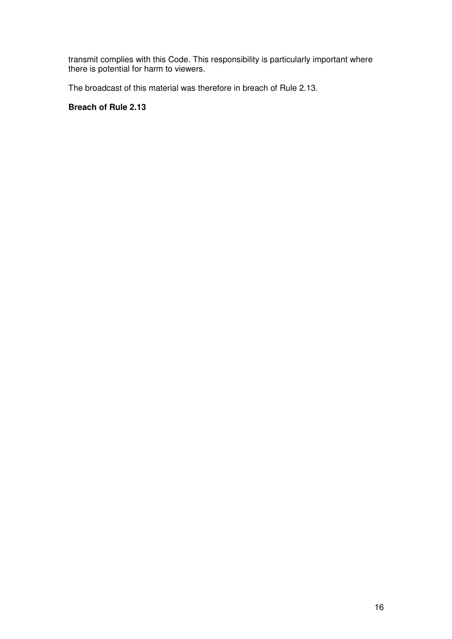transmit complies with this Code. This responsibility is particularly important where there is potential for harm to viewers.

The broadcast of this material was therefore in breach of Rule 2.13.

**Breach of Rule 2.13**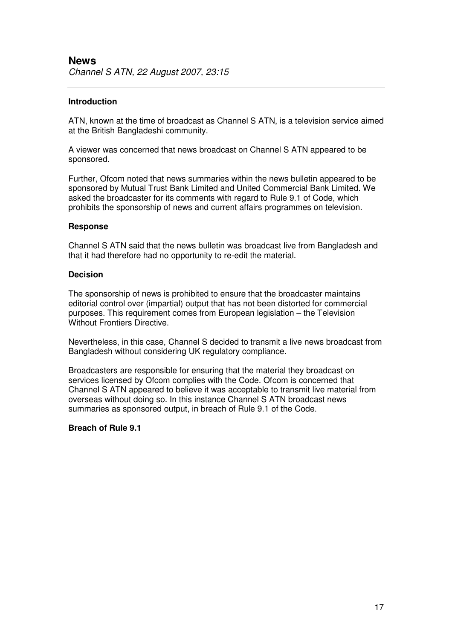# **Introduction**

ATN, known at the time of broadcast as Channel S ATN, is a television service aimed at the British Bangladeshi community.

A viewer was concerned that news broadcast on Channel S ATN appeared to be sponsored.

Further, Ofcom noted that news summaries within the news bulletin appeared to be sponsored by Mutual Trust Bank Limited and United Commercial Bank Limited. We asked the broadcaster for its comments with regard to Rule 9.1 of Code, which prohibits the sponsorship of news and current affairs programmes on television.

#### **Response**

Channel S ATN said that the news bulletin was broadcast live from Bangladesh and that it had therefore had no opportunity to re-edit the material.

#### **Decision**

The sponsorship of news is prohibited to ensure that the broadcaster maintains editorial control over (impartial) output that has not been distorted for commercial purposes. This requirement comes from European legislation – the Television Without Frontiers Directive.

Nevertheless, in this case, Channel S decided to transmit a live news broadcast from Bangladesh without considering UK regulatory compliance.

Broadcasters are responsible for ensuring that the material they broadcast on services licensed by Ofcom complies with the Code. Ofcom is concerned that Channel S ATN appeared to believe it was acceptable to transmit live material from overseas without doing so. In this instance Channel S ATN broadcast news summaries as sponsored output, in breach of Rule 9.1 of the Code.

# **Breach of Rule 9.1**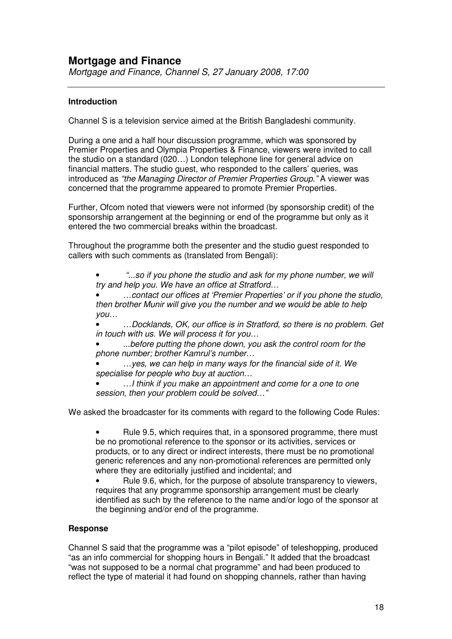# **Introduction**

Channel S is a television service aimed at the British Bangladeshi community.

During a one and a half hour discussion programme, which was sponsored by Premier Properties and Olympia Properties & Finance, viewers were invited to call the studio on a standard (020…) London telephone line for general advice on financial matters. The studio guest, who responded to the callers' queries, was introduced as *"the Managing Director of Premier Properties Group."* A viewer was concerned that the programme appeared to promote Premier Properties.

Further, Ofcom noted that viewers were not informed (by sponsorship credit) of the sponsorship arrangement at the beginning or end of the programme but only as it entered the two commercial breaks within the broadcast.

Throughout the programme both the presenter and the studio guest responded to callers with such comments as (translated from Bengali):

• *"...so if you phone the studio and ask for my phone number, we will try and help you. We have an office at Stratford…*

• *…contact our offices at 'Premier Properties' or if you phone the studio, then brother Munir will give you the number and we would be able to help you…*

• *…Docklands, OK, our office is in Stratford, so there is no problem. Get in touch with us. We will process it for you…*

• *...before putting the phone down, you ask the control room for the phone number; brother Kamrul's number…*

• *…yes, we can help in many ways for the financial side of it. We specialise for people who buy at auction…*

• *…I think if you make an appointment and come for a one to one session, then your problem could be solved…"*

We asked the broadcaster for its comments with regard to the following Code Rules:

• Rule 9.5, which requires that, in a sponsored programme, there must be no promotional reference to the sponsor or its activities, services or products, or to any direct or indirect interests, there must be no promotional generic references and any non-promotional references are permitted only where they are editorially justified and incidental; and

• Rule 9.6, which, for the purpose of absolute transparency to viewers, requires that any programme sponsorship arrangement must be clearly identified as such by the reference to the name and/or logo of the sponsor at the beginning and/or end of the programme.

# **Response**

Channel S said that the programme was a "pilot episode" of teleshopping, produced "as an info commercial for shopping hours in Bengali." It added that the broadcast "was not supposed to be a normal chat programme" and had been produced to reflect the type of material it had found on shopping channels, rather than having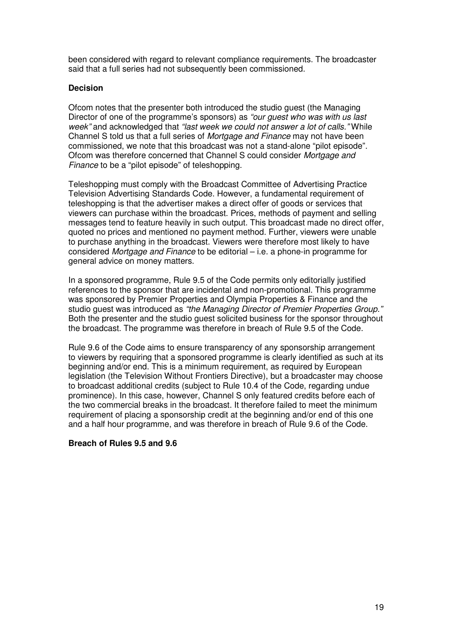been considered with regard to relevant compliance requirements. The broadcaster said that a full series had not subsequently been commissioned.

# **Decision**

Ofcom notes that the presenter both introduced the studio guest (the Managing Director of one of the programme's sponsors) as *"our guest who was with us last week"* and acknowledged that *"last week we could not answer a lot of calls."* While Channel S told us that a full series of *Mortgage and Finance* may not have been commissioned, we note that this broadcast was not a stand-alone "pilot episode". Ofcom was therefore concerned that Channel S could consider *Mortgage and Finance* to be a "pilot episode" of teleshopping.

Teleshopping must comply with the Broadcast Committee of Advertising Practice Television Advertising Standards Code. However, a fundamental requirement of teleshopping is that the advertiser makes a direct offer of goods or services that viewers can purchase within the broadcast. Prices, methods of payment and selling messages tend to feature heavily in such output. This broadcast made no direct offer, quoted no prices and mentioned no payment method. Further, viewers were unable to purchase anything in the broadcast. Viewers were therefore most likely to have considered *Mortgage and Finance* to be editorial – i.e. a phone-in programme for general advice on money matters.

In a sponsored programme, Rule 9.5 of the Code permits only editorially justified references to the sponsor that are incidental and non-promotional. This programme was sponsored by Premier Properties and Olympia Properties & Finance and the studio guest was introduced as *"the Managing Director of Premier Properties Group."* Both the presenter and the studio guest solicited business for the sponsor throughout the broadcast. The programme was therefore in breach of Rule 9.5 of the Code.

Rule 9.6 of the Code aims to ensure transparency of any sponsorship arrangement to viewers by requiring that a sponsored programme is clearly identified as such at its beginning and/or end. This is a minimum requirement, as required by European legislation (the Television Without Frontiers Directive), but a broadcaster may choose to broadcast additional credits (subject to Rule 10.4 of the Code, regarding undue prominence). In this case, however, Channel S only featured credits before each of the two commercial breaks in the broadcast. It therefore failed to meet the minimum requirement of placing a sponsorship credit at the beginning and/or end of this one and a half hour programme, and was therefore in breach of Rule 9.6 of the Code.

#### **Breach of Rules 9.5 and 9.6**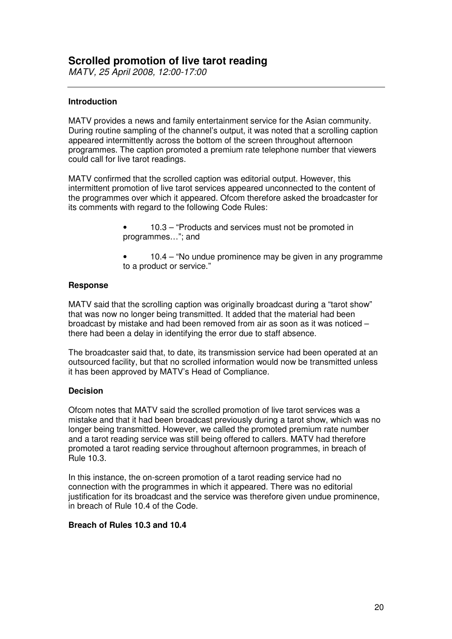# **Scrolled promotion of live tarot reading**

*MATV, 25 April 2008, 12:00-17:00*

# **Introduction**

MATV provides a news and family entertainment service for the Asian community. During routine sampling of the channel's output, it was noted that a scrolling caption appeared intermittently across the bottom of the screen throughout afternoon programmes. The caption promoted a premium rate telephone number that viewers could call for live tarot readings.

MATV confirmed that the scrolled caption was editorial output. However, this intermittent promotion of live tarot services appeared unconnected to the content of the programmes over which it appeared. Ofcom therefore asked the broadcaster for its comments with regard to the following Code Rules:

- 10.3 "Products and services must not be promoted in programmes…"; and
- 10.4 "No undue prominence may be given in any programme to a product or service."

#### **Response**

MATV said that the scrolling caption was originally broadcast during a "tarot show" that was now no longer being transmitted. It added that the material had been broadcast by mistake and had been removed from air as soon as it was noticed – there had been a delay in identifying the error due to staff absence.

The broadcaster said that, to date, its transmission service had been operated at an outsourced facility, but that no scrolled information would now be transmitted unless it has been approved by MATV's Head of Compliance.

# **Decision**

Ofcom notes that MATV said the scrolled promotion of live tarot services was a mistake and that it had been broadcast previously during a tarot show, which was no longer being transmitted. However, we called the promoted premium rate number and a tarot reading service was still being offered to callers. MATV had therefore promoted a tarot reading service throughout afternoon programmes, in breach of Rule 10.3.

In this instance, the on-screen promotion of a tarot reading service had no connection with the programmes in which it appeared. There was no editorial justification for its broadcast and the service was therefore given undue prominence, in breach of Rule 10.4 of the Code.

# **Breach of Rules 10.3 and 10.4**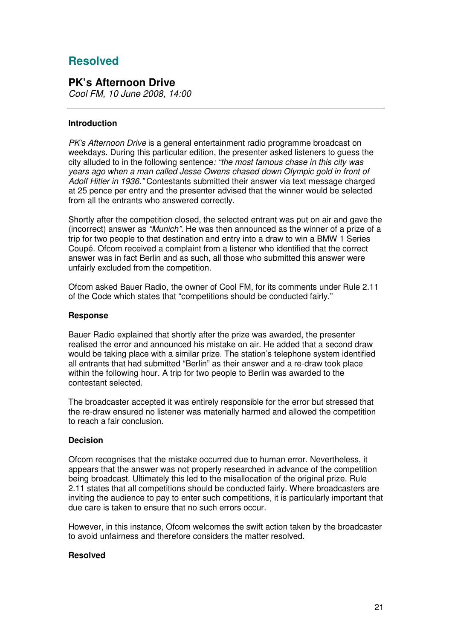# **Resolved**

# **PK's Afternoon Drive**

*Cool FM, 10 June 2008, 14:00*

# **Introduction**

*PK's Afternoon Drive* is a general entertainment radio programme broadcast on weekdays. During this particular edition, the presenter asked listeners to guess the city alluded to in the following sentence*: "the most famous chase in this city was years ago when a man called Jesse Owens chased down Olympic gold in front of Adolf Hitler in 1936."* Contestants submitted their answer via text message charged at 25 pence per entry and the presenter advised that the winner would be selected from all the entrants who answered correctly.

Shortly after the competition closed, the selected entrant was put on air and gave the (incorrect) answer as *"Munich".* He was then announced as the winner of a prize of a trip for two people to that destination and entry into a draw to win a BMW 1 Series Coupé. Ofcom received a complaint from a listener who identified that the correct answer was in fact Berlin and as such, all those who submitted this answer were unfairly excluded from the competition.

Ofcom asked Bauer Radio, the owner of Cool FM, for its comments under Rule 2.11 of the Code which states that "competitions should be conducted fairly."

# **Response**

Bauer Radio explained that shortly after the prize was awarded, the presenter realised the error and announced his mistake on air. He added that a second draw would be taking place with a similar prize. The station's telephone system identified all entrants that had submitted "Berlin" as their answer and a re-draw took place within the following hour. A trip for two people to Berlin was awarded to the contestant selected.

The broadcaster accepted it was entirely responsible for the error but stressed that the re-draw ensured no listener was materially harmed and allowed the competition to reach a fair conclusion.

# **Decision**

Ofcom recognises that the mistake occurred due to human error. Nevertheless, it appears that the answer was not properly researched in advance of the competition being broadcast. Ultimately this led to the misallocation of the original prize. Rule 2.11 states that all competitions should be conducted fairly. Where broadcasters are inviting the audience to pay to enter such competitions, it is particularly important that due care is taken to ensure that no such errors occur.

However, in this instance, Ofcom welcomes the swift action taken by the broadcaster to avoid unfairness and therefore considers the matter resolved.

# **Resolved**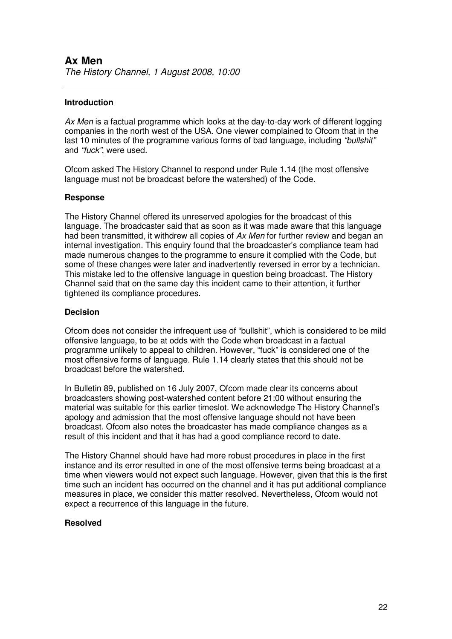# **Introduction**

*Ax Men* is a factual programme which looks at the day-to-day work of different logging companies in the north west of the USA. One viewer complained to Ofcom that in the last 10 minutes of the programme various forms of bad language, including *"bullshit"* and *"fuck"*, were used.

Ofcom asked The History Channel to respond under Rule 1.14 (the most offensive language must not be broadcast before the watershed) of the Code.

# **Response**

The History Channel offered its unreserved apologies for the broadcast of this language. The broadcaster said that as soon as it was made aware that this language had been transmitted, it withdrew all copies of *Ax Men* for further review and began an internal investigation. This enquiry found that the broadcaster's compliance team had made numerous changes to the programme to ensure it complied with the Code, but some of these changes were later and inadvertently reversed in error by a technician. This mistake led to the offensive language in question being broadcast. The History Channel said that on the same day this incident came to their attention, it further tightened its compliance procedures.

#### **Decision**

Ofcom does not consider the infrequent use of "bullshit", which is considered to be mild offensive language, to be at odds with the Code when broadcast in a factual programme unlikely to appeal to children. However, "fuck" is considered one of the most offensive forms of language. Rule 1.14 clearly states that this should not be broadcast before the watershed.

In Bulletin 89, published on 16 July 2007, Ofcom made clear its concerns about broadcasters showing post-watershed content before 21:00 without ensuring the material was suitable for this earlier timeslot. We acknowledge The History Channel's apology and admission that the most offensive language should not have been broadcast. Ofcom also notes the broadcaster has made compliance changes as a result of this incident and that it has had a good compliance record to date.

The History Channel should have had more robust procedures in place in the first instance and its error resulted in one of the most offensive terms being broadcast at a time when viewers would not expect such language. However, given that this is the first time such an incident has occurred on the channel and it has put additional compliance measures in place, we consider this matter resolved. Nevertheless, Ofcom would not expect a recurrence of this language in the future.

#### **Resolved**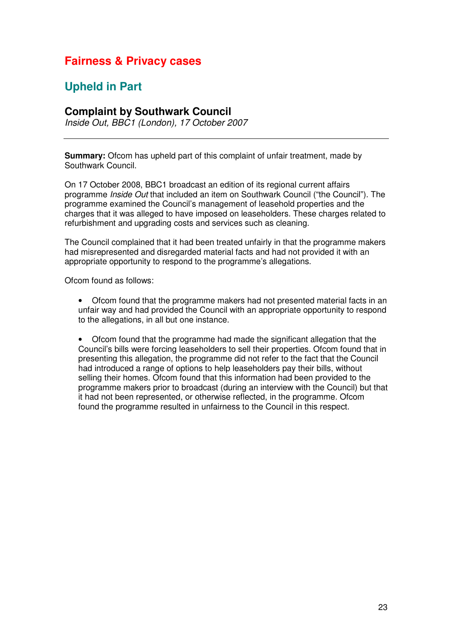# **Fairness & Privacy cases**

# **Upheld in Part**

# **Complaint by Southwark Council**

*Inside Out, BBC1 (London), 17 October 2007*

**Summary:** Ofcom has upheld part of this complaint of unfair treatment, made by Southwark Council.

On 17 October 2008, BBC1 broadcast an edition of its regional current affairs programme *Inside Out* that included an item on Southwark Council ("the Council"). The programme examined the Council's management of leasehold properties and the charges that it was alleged to have imposed on leaseholders. These charges related to refurbishment and upgrading costs and services such as cleaning.

The Council complained that it had been treated unfairly in that the programme makers had misrepresented and disregarded material facts and had not provided it with an appropriate opportunity to respond to the programme's allegations.

Ofcom found as follows:

• Ofcom found that the programme makers had not presented material facts in an unfair way and had provided the Council with an appropriate opportunity to respond to the allegations, in all but one instance.

• Ofcom found that the programme had made the significant allegation that the Council's bills were forcing leaseholders to sell their properties. Ofcom found that in presenting this allegation, the programme did not refer to the fact that the Council had introduced a range of options to help leaseholders pay their bills, without selling their homes. Ofcom found that this information had been provided to the programme makers prior to broadcast (during an interview with the Council) but that it had not been represented, or otherwise reflected, in the programme. Ofcom found the programme resulted in unfairness to the Council in this respect.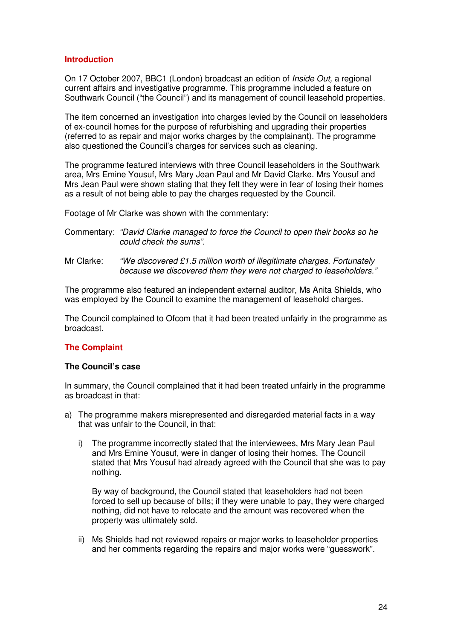# **Introduction**

On 17 October 2007, BBC1 (London) broadcast an edition of *Inside Out,* a regional current affairs and investigative programme. This programme included a feature on Southwark Council ("the Council") and its management of council leasehold properties.

The item concerned an investigation into charges levied by the Council on leaseholders of ex-council homes for the purpose of refurbishing and upgrading their properties (referred to as repair and major works charges by the complainant). The programme also questioned the Council's charges for services such as cleaning.

The programme featured interviews with three Council leaseholders in the Southwark area, Mrs Emine Yousuf, Mrs Mary Jean Paul and Mr David Clarke. Mrs Yousuf and Mrs Jean Paul were shown stating that they felt they were in fear of losing their homes as a result of not being able to pay the charges requested by the Council.

Footage of Mr Clarke was shown with the commentary:

Commentary: *"David Clarke managed to force the Council to open their books so he could check the sums"*.

Mr Clarke: *"We discovered £1.5 million worth of illegitimate charges. Fortunately because we discovered them they were not charged to leaseholders."*

The programme also featured an independent external auditor, Ms Anita Shields, who was employed by the Council to examine the management of leasehold charges.

The Council complained to Ofcom that it had been treated unfairly in the programme as broadcast.

# **The Complaint**

# **The Council's case**

In summary, the Council complained that it had been treated unfairly in the programme as broadcast in that:

- a) The programme makers misrepresented and disregarded material facts in a way that was unfair to the Council, in that:
	- i) The programme incorrectly stated that the interviewees, Mrs Mary Jean Paul and Mrs Emine Yousuf, were in danger of losing their homes. The Council stated that Mrs Yousuf had already agreed with the Council that she was to pay nothing.

By way of background, the Council stated that leaseholders had not been forced to sell up because of bills; if they were unable to pay, they were charged nothing, did not have to relocate and the amount was recovered when the property was ultimately sold.

ii) Ms Shields had not reviewed repairs or major works to leaseholder properties and her comments regarding the repairs and major works were "guesswork".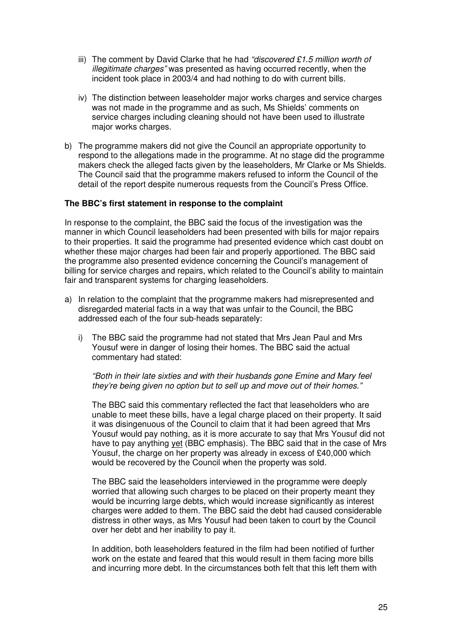- iii) The comment by David Clarke that he had *"discovered £1.5 million worth of illegitimate charges"* was presented as having occurred recently, when the incident took place in 2003/4 and had nothing to do with current bills.
- iv) The distinction between leaseholder major works charges and service charges was not made in the programme and as such, Ms Shields' comments on service charges including cleaning should not have been used to illustrate major works charges.
- b) The programme makers did not give the Council an appropriate opportunity to respond to the allegations made in the programme. At no stage did the programme makers check the alleged facts given by the leaseholders, Mr Clarke or Ms Shields. The Council said that the programme makers refused to inform the Council of the detail of the report despite numerous requests from the Council's Press Office.

# **The BBC's first statement in response to the complaint**

In response to the complaint, the BBC said the focus of the investigation was the manner in which Council leaseholders had been presented with bills for major repairs to their properties. It said the programme had presented evidence which cast doubt on whether these major charges had been fair and properly apportioned. The BBC said the programme also presented evidence concerning the Council's management of billing for service charges and repairs, which related to the Council's ability to maintain fair and transparent systems for charging leaseholders.

- a) In relation to the complaint that the programme makers had misrepresented and disregarded material facts in a way that was unfair to the Council, the BBC addressed each of the four sub-heads separately:
	- i) The BBC said the programme had not stated that Mrs Jean Paul and Mrs Yousuf were in danger of losing their homes. The BBC said the actual commentary had stated:

*"Both in their late sixties and with their husbands gone Emine and Mary feel they're being given no option but to sell up and move out of their homes."*

The BBC said this commentary reflected the fact that leaseholders who are unable to meet these bills, have a legal charge placed on their property. It said it was disingenuous of the Council to claim that it had been agreed that Mrs Yousuf would pay nothing, as it is more accurate to say that Mrs Yousuf did not have to pay anything yet (BBC emphasis). The BBC said that in the case of Mrs Yousuf, the charge on her property was already in excess of £40,000 which would be recovered by the Council when the property was sold.

The BBC said the leaseholders interviewed in the programme were deeply worried that allowing such charges to be placed on their property meant they would be incurring large debts, which would increase significantly as interest charges were added to them. The BBC said the debt had caused considerable distress in other ways, as Mrs Yousuf had been taken to court by the Council over her debt and her inability to pay it.

In addition, both leaseholders featured in the film had been notified of further work on the estate and feared that this would result in them facing more bills and incurring more debt. In the circumstances both felt that this left them with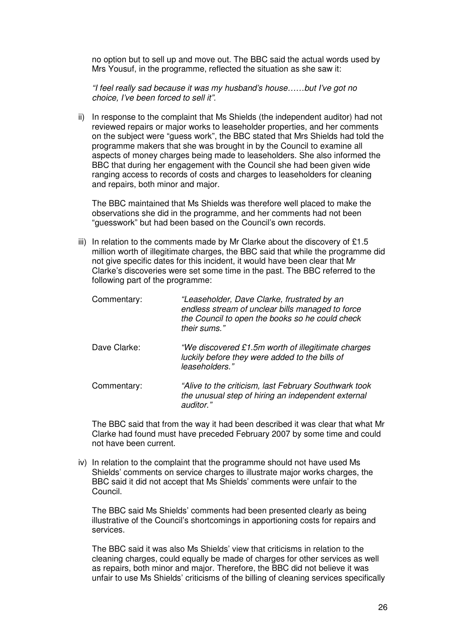no option but to sell up and move out. The BBC said the actual words used by Mrs Yousuf, in the programme, reflected the situation as she saw it:

*"I feel really sad because it was my husband's house……but I've got no choice, I've been forced to sell it".*

ii) In response to the complaint that Ms Shields (the independent auditor) had not reviewed repairs or major works to leaseholder properties, and her comments on the subject were "guess work", the BBC stated that Mrs Shields had told the programme makers that she was brought in by the Council to examine all aspects of money charges being made to leaseholders. She also informed the BBC that during her engagement with the Council she had been given wide ranging access to records of costs and charges to leaseholders for cleaning and repairs, both minor and major.

The BBC maintained that Ms Shields was therefore well placed to make the observations she did in the programme, and her comments had not been "guesswork" but had been based on the Council's own records.

iii) In relation to the comments made by Mr Clarke about the discovery of  $£1.5$ million worth of illegitimate charges, the BBC said that while the programme did not give specific dates for this incident, it would have been clear that Mr Clarke's discoveries were set some time in the past. The BBC referred to the following part of the programme:

| Commentary:  | "Leaseholder, Dave Clarke, frustrated by an<br>endless stream of unclear bills managed to force<br>the Council to open the books so he could check<br>their sums." |
|--------------|--------------------------------------------------------------------------------------------------------------------------------------------------------------------|
| Dave Clarke: | "We discovered £1.5m worth of illegitimate charges"<br>luckily before they were added to the bills of<br>leaseholders."                                            |
| Commentary:  | "Alive to the criticism, last February Southwark took<br>the unusual step of hiring an independent external<br>auditor."                                           |

The BBC said that from the way it had been described it was clear that what Mr Clarke had found must have preceded February 2007 by some time and could not have been current.

iv) In relation to the complaint that the programme should not have used Ms Shields' comments on service charges to illustrate major works charges, the BBC said it did not accept that Ms Shields' comments were unfair to the Council.

The BBC said Ms Shields' comments had been presented clearly as being illustrative of the Council's shortcomings in apportioning costs for repairs and services.

The BBC said it was also Ms Shields' view that criticisms in relation to the cleaning charges, could equally be made of charges for other services as well as repairs, both minor and major. Therefore, the BBC did not believe it was unfair to use Ms Shields' criticisms of the billing of cleaning services specifically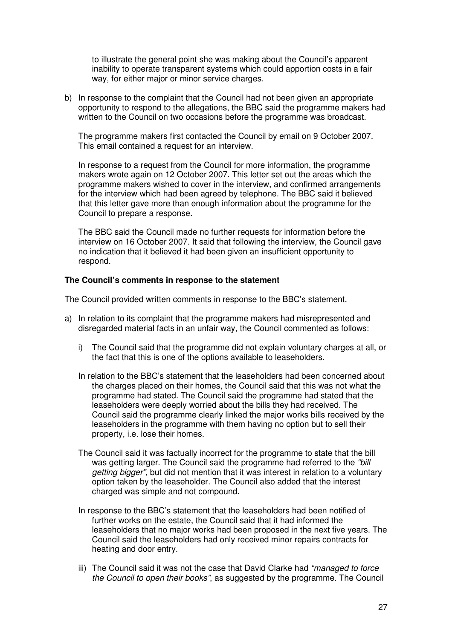to illustrate the general point she was making about the Council's apparent inability to operate transparent systems which could apportion costs in a fair way, for either major or minor service charges.

b) In response to the complaint that the Council had not been given an appropriate opportunity to respond to the allegations, the BBC said the programme makers had written to the Council on two occasions before the programme was broadcast.

The programme makers first contacted the Council by email on 9 October 2007. This email contained a request for an interview.

In response to a request from the Council for more information, the programme makers wrote again on 12 October 2007. This letter set out the areas which the programme makers wished to cover in the interview, and confirmed arrangements for the interview which had been agreed by telephone. The BBC said it believed that this letter gave more than enough information about the programme for the Council to prepare a response.

The BBC said the Council made no further requests for information before the interview on 16 October 2007. It said that following the interview, the Council gave no indication that it believed it had been given an insufficient opportunity to respond.

#### **The Council's comments in response to the statement**

The Council provided written comments in response to the BBC's statement.

- a) In relation to its complaint that the programme makers had misrepresented and disregarded material facts in an unfair way, the Council commented as follows:
	- i) The Council said that the programme did not explain voluntary charges at all, or the fact that this is one of the options available to leaseholders.
	- In relation to the BBC's statement that the leaseholders had been concerned about the charges placed on their homes, the Council said that this was not what the programme had stated. The Council said the programme had stated that the leaseholders were deeply worried about the bills they had received. The Council said the programme clearly linked the major works bills received by the leaseholders in the programme with them having no option but to sell their property, i.e. lose their homes.
	- The Council said it was factually incorrect for the programme to state that the bill was getting larger. The Council said the programme had referred to the *"bill getting bigger"*, but did not mention that it was interest in relation to a voluntary option taken by the leaseholder. The Council also added that the interest charged was simple and not compound.
	- In response to the BBC's statement that the leaseholders had been notified of further works on the estate, the Council said that it had informed the leaseholders that no major works had been proposed in the next five years. The Council said the leaseholders had only received minor repairs contracts for heating and door entry.
	- iii) The Council said it was not the case that David Clarke had *"managed to force the Council to open their books"*, as suggested by the programme. The Council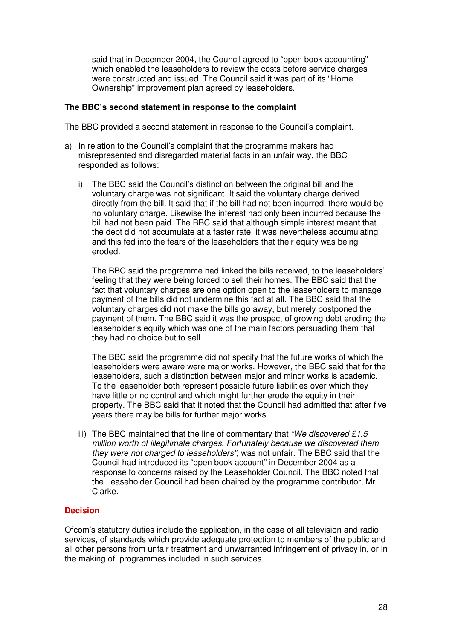said that in December 2004, the Council agreed to "open book accounting" which enabled the leaseholders to review the costs before service charges were constructed and issued. The Council said it was part of its "Home Ownership" improvement plan agreed by leaseholders.

# **The BBC's second statement in response to the complaint**

The BBC provided a second statement in response to the Council's complaint.

- a) In relation to the Council's complaint that the programme makers had misrepresented and disregarded material facts in an unfair way, the BBC responded as follows:
	- i) The BBC said the Council's distinction between the original bill and the voluntary charge was not significant. It said the voluntary charge derived directly from the bill. It said that if the bill had not been incurred, there would be no voluntary charge. Likewise the interest had only been incurred because the bill had not been paid. The BBC said that although simple interest meant that the debt did not accumulate at a faster rate, it was nevertheless accumulating and this fed into the fears of the leaseholders that their equity was being eroded.

The BBC said the programme had linked the bills received, to the leaseholders' feeling that they were being forced to sell their homes. The BBC said that the fact that voluntary charges are one option open to the leaseholders to manage payment of the bills did not undermine this fact at all. The BBC said that the voluntary charges did not make the bills go away, but merely postponed the payment of them. The BBC said it was the prospect of growing debt eroding the leaseholder's equity which was one of the main factors persuading them that they had no choice but to sell.

The BBC said the programme did not specify that the future works of which the leaseholders were aware were major works. However, the BBC said that for the leaseholders, such a distinction between major and minor works is academic. To the leaseholder both represent possible future liabilities over which they have little or no control and which might further erode the equity in their property. The BBC said that it noted that the Council had admitted that after five years there may be bills for further major works.

iii) The BBC maintained that the line of commentary that *"We discovered £1.5 million worth of illegitimate charges. Fortunately because we discovered them they were not charged to leaseholders",* was not unfair. The BBC said that the Council had introduced its "open book account" in December 2004 as a response to concerns raised by the Leaseholder Council. The BBC noted that the Leaseholder Council had been chaired by the programme contributor, Mr Clarke.

# **Decision**

Ofcom's statutory duties include the application, in the case of all television and radio services, of standards which provide adequate protection to members of the public and all other persons from unfair treatment and unwarranted infringement of privacy in, or in the making of, programmes included in such services.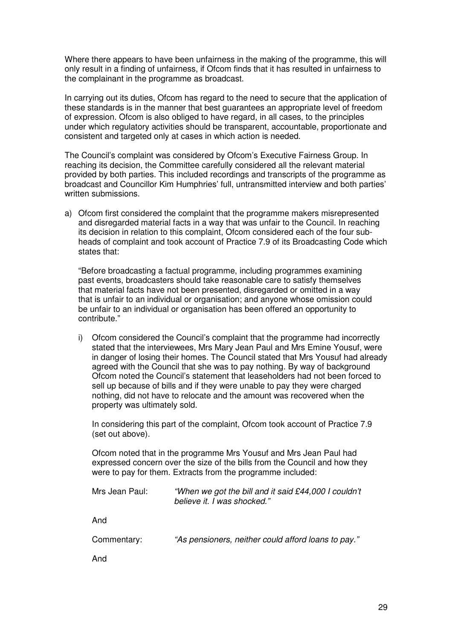Where there appears to have been unfairness in the making of the programme, this will only result in a finding of unfairness, if Ofcom finds that it has resulted in unfairness to the complainant in the programme as broadcast.

In carrying out its duties, Ofcom has regard to the need to secure that the application of these standards is in the manner that best guarantees an appropriate level of freedom of expression. Ofcom is also obliged to have regard, in all cases, to the principles under which regulatory activities should be transparent, accountable, proportionate and consistent and targeted only at cases in which action is needed.

The Council's complaint was considered by Ofcom's Executive Fairness Group. In reaching its decision, the Committee carefully considered all the relevant material provided by both parties. This included recordings and transcripts of the programme as broadcast and Councillor Kim Humphries' full, untransmitted interview and both parties' written submissions.

a) Ofcom first considered the complaint that the programme makers misrepresented and disregarded material facts in a way that was unfair to the Council. In reaching its decision in relation to this complaint, Ofcom considered each of the four subheads of complaint and took account of Practice 7.9 of its Broadcasting Code which states that:

"Before broadcasting a factual programme, including programmes examining past events, broadcasters should take reasonable care to satisfy themselves that material facts have not been presented, disregarded or omitted in a way that is unfair to an individual or organisation; and anyone whose omission could be unfair to an individual or organisation has been offered an opportunity to contribute."

i) Ofcom considered the Council's complaint that the programme had incorrectly stated that the interviewees, Mrs Mary Jean Paul and Mrs Emine Yousuf, were in danger of losing their homes. The Council stated that Mrs Yousuf had already agreed with the Council that she was to pay nothing. By way of background Ofcom noted the Council's statement that leaseholders had not been forced to sell up because of bills and if they were unable to pay they were charged nothing, did not have to relocate and the amount was recovered when the property was ultimately sold.

In considering this part of the complaint, Ofcom took account of Practice 7.9 (set out above).

Ofcom noted that in the programme Mrs Yousuf and Mrs Jean Paul had expressed concern over the size of the bills from the Council and how they were to pay for them. Extracts from the programme included:

| Mrs Jean Paul: | "When we got the bill and it said £44,000 I couldn't<br>believe it. I was shocked." |
|----------------|-------------------------------------------------------------------------------------|
| And            |                                                                                     |
| Commentary:    | "As pensioners, neither could afford loans to pay."                                 |
| And            |                                                                                     |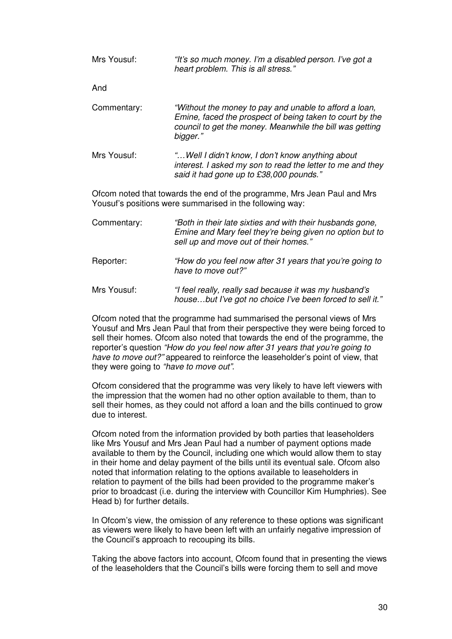| Mrs Yousuf: | "It's so much money. I'm a disabled person. I've got a<br>heart problem. This is all stress."                                                                                              |
|-------------|--------------------------------------------------------------------------------------------------------------------------------------------------------------------------------------------|
| And         |                                                                                                                                                                                            |
| Commentary: | "Without the money to pay and unable to afford a loan,<br>Emine, faced the prospect of being taken to court by the<br>council to get the money. Meanwhile the bill was getting<br>bigger." |
| Mrs Yousuf: | " Well I didn't know, I don't know anything about<br>interest. I asked my son to read the letter to me and they<br>said it had gone up to £38,000 pounds."                                 |
|             | Ofcom noted that towards the end of the programme, Mrs Jean Paul and Mrs<br>Yousuf's positions were summarised in the following way:                                                       |
|             |                                                                                                                                                                                            |

Commentary: *"Both in their late sixties and with their husbands gone, Emine and Mary feel they're being given no option but to sell up and move out of their homes."* Reporter: *"How do you feel now after 31 years that you're going to have to move out?"* Mrs Yousuf: *"I feel really, really sad because it was my husband's house…but I've got no choice I've been forced to sell it."*

Ofcom noted that the programme had summarised the personal views of Mrs Yousuf and Mrs Jean Paul that from their perspective they were being forced to sell their homes. Ofcom also noted that towards the end of the programme, the reporter's question *"How do you feel now after 31 years that you're going to have to move out?"* appeared to reinforce the leaseholder's point of view, that they were going to *"have to move out"*.

Ofcom considered that the programme was very likely to have left viewers with the impression that the women had no other option available to them, than to sell their homes, as they could not afford a loan and the bills continued to grow due to interest.

Ofcom noted from the information provided by both parties that leaseholders like Mrs Yousuf and Mrs Jean Paul had a number of payment options made available to them by the Council, including one which would allow them to stay in their home and delay payment of the bills until its eventual sale. Ofcom also noted that information relating to the options available to leaseholders in relation to payment of the bills had been provided to the programme maker's prior to broadcast (i.e. during the interview with Councillor Kim Humphries). See Head b) for further details.

In Ofcom's view, the omission of any reference to these options was significant as viewers were likely to have been left with an unfairly negative impression of the Council's approach to recouping its bills.

Taking the above factors into account, Ofcom found that in presenting the views of the leaseholders that the Council's bills were forcing them to sell and move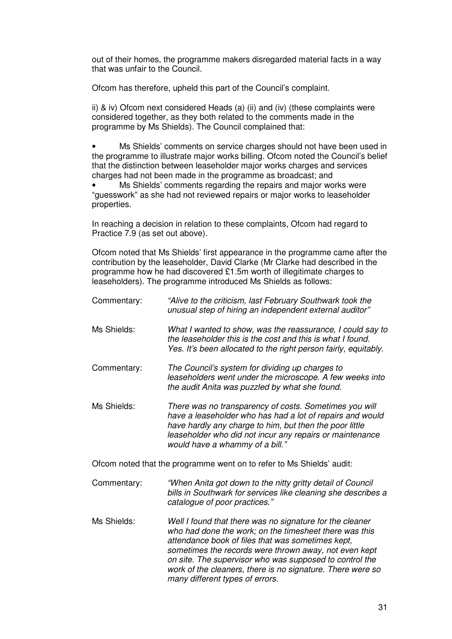out of their homes, the programme makers disregarded material facts in a way that was unfair to the Council.

Ofcom has therefore, upheld this part of the Council's complaint.

ii) & iv) Ofcom next considered Heads (a) (ii) and (iv) (these complaints were considered together, as they both related to the comments made in the programme by Ms Shields). The Council complained that:

Ms Shields' comments on service charges should not have been used in the programme to illustrate major works billing. Ofcom noted the Council's belief that the distinction between leaseholder major works charges and services charges had not been made in the programme as broadcast; and

Ms Shields' comments regarding the repairs and major works were "guesswork" as she had not reviewed repairs or major works to leaseholder properties.

In reaching a decision in relation to these complaints, Ofcom had regard to Practice 7.9 (as set out above).

Ofcom noted that Ms Shields' first appearance in the programme came after the contribution by the leaseholder, David Clarke (Mr Clarke had described in the programme how he had discovered £1.5m worth of illegitimate charges to leaseholders). The programme introduced Ms Shields as follows:

- Commentary: *"Alive to the criticism, last February Southwark took the unusual step of hiring an independent external auditor"* Ms Shields: *What I wanted to show, was the reassurance, I could say to the leaseholder this is the cost and this is what I found. Yes. It's been allocated to the right person fairly, equitably.* Commentary: *The Council's system for dividing up charges to leaseholders went under the microscope. A few weeks into the audit Anita was puzzled by what she found.*
- Ms Shields: *There was no transparency of costs. Sometimes you will have a leaseholder who has had a lot of repairs and would have hardly any charge to him, but then the poor little leaseholder who did not incur any repairs or maintenance would have a whammy of a bill."*

Ofcom noted that the programme went on to refer to Ms Shields' audit:

Commentary: *"When Anita got down to the nitty gritty detail of Council bills in Southwark for services like cleaning she describes a catalogue of poor practices."*

Ms Shields: *Well I found that there was no signature for the cleaner who had done the work; on the timesheet there was this attendance book of files that was sometimes kept, sometimes the records were thrown away, not even kept on site. The supervisor who was supposed to control the work of the cleaners, there is no signature. There were so many different types of errors.*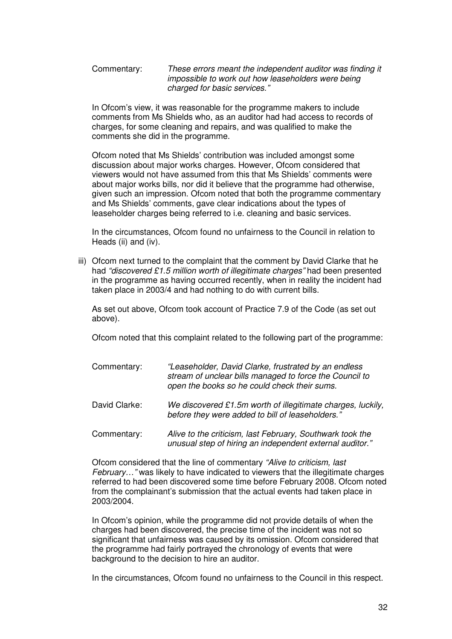Commentary: *These errors meant the independent auditor was finding it impossible to work out how leaseholders were being charged for basic services."*

In Ofcom's view, it was reasonable for the programme makers to include comments from Ms Shields who, as an auditor had had access to records of charges, for some cleaning and repairs, and was qualified to make the comments she did in the programme.

Ofcom noted that Ms Shields' contribution was included amongst some discussion about major works charges. However, Ofcom considered that viewers would not have assumed from this that Ms Shields' comments were about major works bills, nor did it believe that the programme had otherwise, given such an impression. Ofcom noted that both the programme commentary and Ms Shields' comments, gave clear indications about the types of leaseholder charges being referred to i.e. cleaning and basic services.

In the circumstances, Ofcom found no unfairness to the Council in relation to Heads (ii) and (iv).

iii) Ofcom next turned to the complaint that the comment by David Clarke that he had *"discovered £1.5 million worth of illegitimate charges"* had been presented in the programme as having occurred recently, when in reality the incident had taken place in 2003/4 and had nothing to do with current bills.

As set out above, Ofcom took account of Practice 7.9 of the Code (as set out above).

Ofcom noted that this complaint related to the following part of the programme:

| Commentary:   | "Leaseholder, David Clarke, frustrated by an endless<br>stream of unclear bills managed to force the Council to<br>open the books so he could check their sums. |
|---------------|-----------------------------------------------------------------------------------------------------------------------------------------------------------------|
| David Clarke: | We discovered £1.5m worth of illegitimate charges, luckily,<br>before they were added to bill of leaseholders."                                                 |
| Commentary:   | Alive to the criticism, last February, Southwark took the<br>unusual step of hiring an independent external auditor."                                           |

Ofcom considered that the line of commentary *"Alive to criticism, last February…"* was likely to have indicated to viewers that the illegitimate charges referred to had been discovered some time before February 2008. Ofcom noted from the complainant's submission that the actual events had taken place in 2003/2004.

In Ofcom's opinion, while the programme did not provide details of when the charges had been discovered, the precise time of the incident was not so significant that unfairness was caused by its omission. Ofcom considered that the programme had fairly portrayed the chronology of events that were background to the decision to hire an auditor.

In the circumstances, Ofcom found no unfairness to the Council in this respect.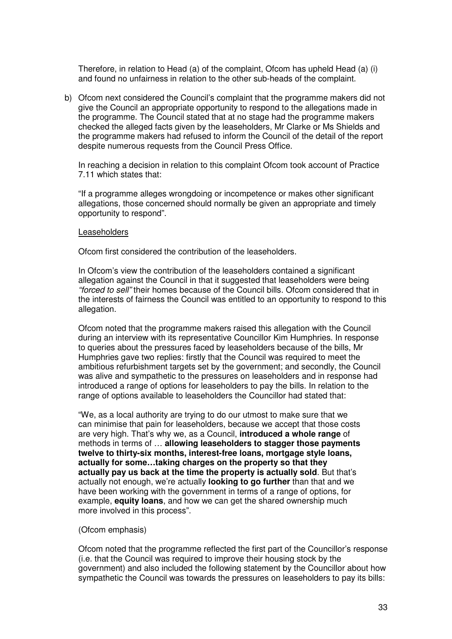Therefore, in relation to Head (a) of the complaint, Ofcom has upheld Head (a) (i) and found no unfairness in relation to the other sub-heads of the complaint.

b) Ofcom next considered the Council's complaint that the programme makers did not give the Council an appropriate opportunity to respond to the allegations made in the programme. The Council stated that at no stage had the programme makers checked the alleged facts given by the leaseholders, Mr Clarke or Ms Shields and the programme makers had refused to inform the Council of the detail of the report despite numerous requests from the Council Press Office.

In reaching a decision in relation to this complaint Ofcom took account of Practice 7.11 which states that:

"If a programme alleges wrongdoing or incompetence or makes other significant allegations, those concerned should normally be given an appropriate and timely opportunity to respond".

#### Leaseholders

Ofcom first considered the contribution of the leaseholders.

In Ofcom's view the contribution of the leaseholders contained a significant allegation against the Council in that it suggested that leaseholders were being *"forced to sell"* their homes because of the Council bills. Ofcom considered that in the interests of fairness the Council was entitled to an opportunity to respond to this allegation.

Ofcom noted that the programme makers raised this allegation with the Council during an interview with its representative Councillor Kim Humphries. In response to queries about the pressures faced by leaseholders because of the bills, Mr Humphries gave two replies: firstly that the Council was required to meet the ambitious refurbishment targets set by the government; and secondly, the Council was alive and sympathetic to the pressures on leaseholders and in response had introduced a range of options for leaseholders to pay the bills. In relation to the range of options available to leaseholders the Councillor had stated that:

"We, as a local authority are trying to do our utmost to make sure that we can minimise that pain for leaseholders, because we accept that those costs are very high. That's why we, as a Council, **introduced a whole range** of methods in terms of … **allowing leaseholders to stagger those payments twelve to thirty-six months, interest-free loans, mortgage style loans, actually for some…taking charges on the property so that they actually pay us back at the time the property is actually sold**. But that's actually not enough, we're actually **looking to go further** than that and we have been working with the government in terms of a range of options, for example, **equity loans**, and how we can get the shared ownership much more involved in this process".

#### (Ofcom emphasis)

Ofcom noted that the programme reflected the first part of the Councillor's response (i.e. that the Council was required to improve their housing stock by the government) and also included the following statement by the Councillor about how sympathetic the Council was towards the pressures on leaseholders to pay its bills: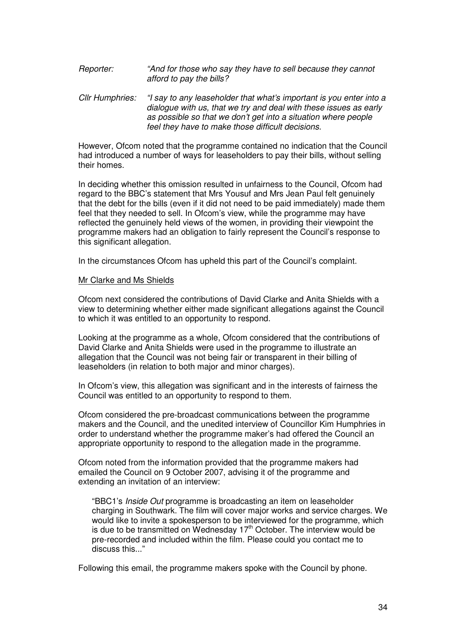# *Reporter: "And for those who say they have to sell because they cannot afford to pay the bills?*

#### *Cllr Humphries: "I say to any leaseholder that what's important is you enter into a dialogue with us, that we try and deal with these issues as early as possible so that we don't get into a situation where people feel they have to make those difficult decisions.*

However, Ofcom noted that the programme contained no indication that the Council had introduced a number of ways for leaseholders to pay their bills, without selling their homes.

In deciding whether this omission resulted in unfairness to the Council, Ofcom had regard to the BBC's statement that Mrs Yousuf and Mrs Jean Paul felt genuinely that the debt for the bills (even if it did not need to be paid immediately) made them feel that they needed to sell. In Ofcom's view, while the programme may have reflected the genuinely held views of the women, in providing their viewpoint the programme makers had an obligation to fairly represent the Council's response to this significant allegation.

In the circumstances Ofcom has upheld this part of the Council's complaint.

#### Mr Clarke and Ms Shields

Ofcom next considered the contributions of David Clarke and Anita Shields with a view to determining whether either made significant allegations against the Council to which it was entitled to an opportunity to respond.

Looking at the programme as a whole, Ofcom considered that the contributions of David Clarke and Anita Shields were used in the programme to illustrate an allegation that the Council was not being fair or transparent in their billing of leaseholders (in relation to both major and minor charges).

In Ofcom's view, this allegation was significant and in the interests of fairness the Council was entitled to an opportunity to respond to them.

Ofcom considered the pre-broadcast communications between the programme makers and the Council, and the unedited interview of Councillor Kim Humphries in order to understand whether the programme maker's had offered the Council an appropriate opportunity to respond to the allegation made in the programme.

Ofcom noted from the information provided that the programme makers had emailed the Council on 9 October 2007, advising it of the programme and extending an invitation of an interview:

"BBC1's *Inside Out* programme is broadcasting an item on leaseholder charging in Southwark. The film will cover major works and service charges. We would like to invite a spokesperson to be interviewed for the programme, which is due to be transmitted on Wednesday  $17<sup>th</sup>$  October. The interview would be pre-recorded and included within the film. Please could you contact me to discuss this..."

Following this email, the programme makers spoke with the Council by phone.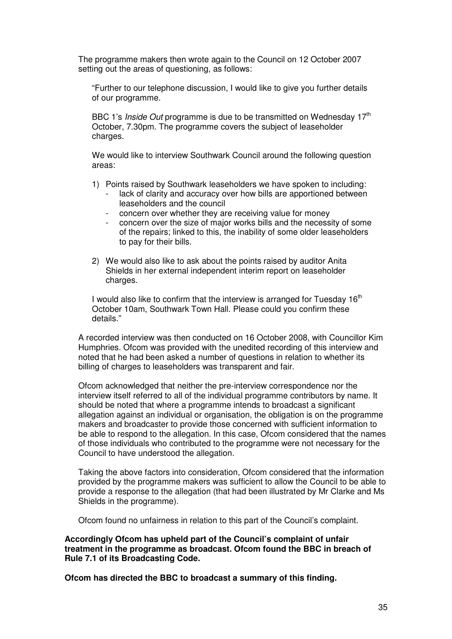The programme makers then wrote again to the Council on 12 October 2007 setting out the areas of questioning, as follows:

"Further to our telephone discussion, I would like to give you further details of our programme.

BBC 1's *Inside Out* programme is due to be transmitted on Wednesday 17<sup>th</sup> October, 7.30pm. The programme covers the subject of leaseholder charges.

We would like to interview Southwark Council around the following question areas:

- 1) Points raised by Southwark leaseholders we have spoken to including:
	- lack of clarity and accuracy over how bills are apportioned between leaseholders and the council
	- concern over whether they are receiving value for money
	- concern over the size of major works bills and the necessity of some of the repairs; linked to this, the inability of some older leaseholders to pay for their bills.
- 2) We would also like to ask about the points raised by auditor Anita Shields in her external independent interim report on leaseholder charges.

I would also like to confirm that the interview is arranged for Tuesday  $16<sup>th</sup>$ October 10am, Southwark Town Hall. Please could you confirm these details."

A recorded interview was then conducted on 16 October 2008, with Councillor Kim Humphries. Ofcom was provided with the unedited recording of this interview and noted that he had been asked a number of questions in relation to whether its billing of charges to leaseholders was transparent and fair.

Ofcom acknowledged that neither the pre-interview correspondence nor the interview itself referred to all of the individual programme contributors by name. It should be noted that where a programme intends to broadcast a significant allegation against an individual or organisation, the obligation is on the programme makers and broadcaster to provide those concerned with sufficient information to be able to respond to the allegation. In this case, Ofcom considered that the names of those individuals who contributed to the programme were not necessary for the Council to have understood the allegation.

Taking the above factors into consideration, Ofcom considered that the information provided by the programme makers was sufficient to allow the Council to be able to provide a response to the allegation (that had been illustrated by Mr Clarke and Ms Shields in the programme).

Ofcom found no unfairness in relation to this part of the Council's complaint.

**Accordingly Ofcom has upheld part of the Council's complaint of unfair treatment in the programme as broadcast. Ofcom found the BBC in breach of Rule 7.1 of its Broadcasting Code.**

**Ofcom has directed the BBC to broadcast a summary of this finding.**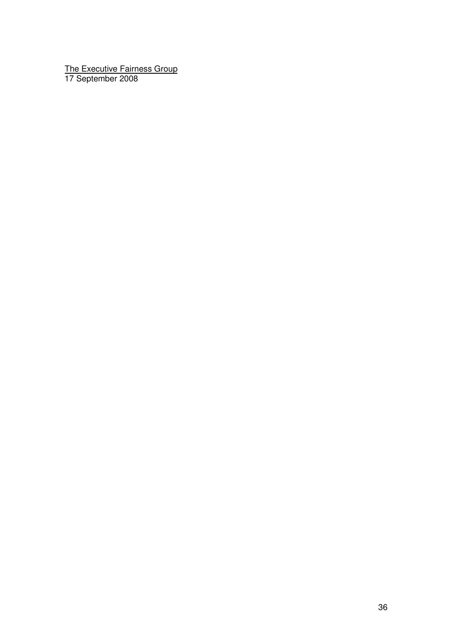The Executive Fairness Group September 2008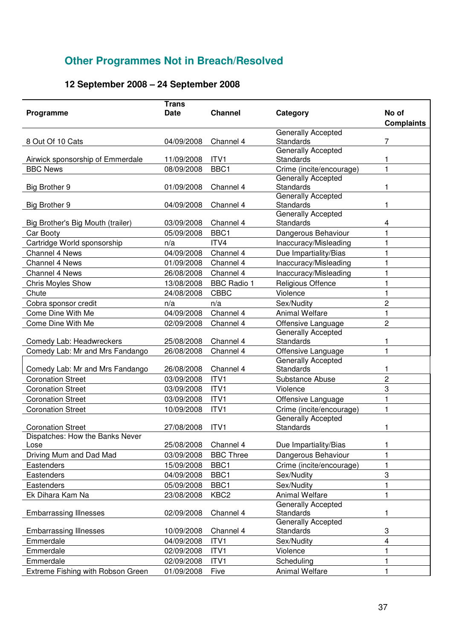# **Other Programmes Not in Breach/Resolved**

# **12 September 2008 – 24 September 2008**

|                                   | <b>Trans</b> |                    |                                               |                         |
|-----------------------------------|--------------|--------------------|-----------------------------------------------|-------------------------|
| Programme                         | <b>Date</b>  | <b>Channel</b>     | Category                                      | No of                   |
|                                   |              |                    |                                               | <b>Complaints</b>       |
|                                   |              |                    | Generally Accepted                            |                         |
| 8 Out Of 10 Cats                  | 04/09/2008   | Channel 4          | <b>Standards</b>                              | 7                       |
|                                   |              |                    | <b>Generally Accepted</b>                     |                         |
| Airwick sponsorship of Emmerdale  | 11/09/2008   | ITV1               | Standards                                     | 1                       |
| <b>BBC News</b>                   | 08/09/2008   | BBC1               | Crime (incite/encourage)                      | 1                       |
|                                   |              |                    | Generally Accepted                            |                         |
| <b>Big Brother 9</b>              | 01/09/2008   | Channel 4          | <b>Standards</b>                              | 1                       |
|                                   |              |                    | <b>Generally Accepted</b>                     | 1                       |
| Big Brother 9                     | 04/09/2008   | Channel 4          | <b>Standards</b><br><b>Generally Accepted</b> |                         |
| Big Brother's Big Mouth (trailer) | 03/09/2008   | Channel 4          | Standards                                     | 4                       |
| Car Booty                         | 05/09/2008   | BBC1               | Dangerous Behaviour                           | 1                       |
|                                   |              | ITV4               |                                               | 1                       |
| Cartridge World sponsorship       | n/a          |                    | Inaccuracy/Misleading                         |                         |
| <b>Channel 4 News</b>             | 04/09/2008   | Channel 4          | Due Impartiality/Bias                         | 1                       |
| Channel 4 News                    | 01/09/2008   | Channel 4          | Inaccuracy/Misleading                         | 1                       |
| Channel 4 News                    | 26/08/2008   | Channel 4          | Inaccuracy/Misleading                         | 1                       |
| Chris Moyles Show                 | 13/08/2008   | <b>BBC Radio 1</b> | Religious Offence                             | 1                       |
| Chute                             | 24/08/2008   | <b>CBBC</b>        | Violence                                      | 1                       |
| Cobra sponsor credit              | n/a          | n/a                | Sex/Nudity                                    | 2                       |
| Come Dine With Me                 | 04/09/2008   | Channel 4          | <b>Animal Welfare</b>                         | $\blacksquare$          |
| Come Dine With Me                 | 02/09/2008   | Channel 4          | Offensive Language                            | 2                       |
|                                   |              |                    | Generally Accepted                            |                         |
| Comedy Lab: Headwreckers          | 25/08/2008   | Channel 4          | Standards                                     | 1                       |
| Comedy Lab: Mr and Mrs Fandango   | 26/08/2008   | Channel 4          | Offensive Language                            | 1                       |
|                                   |              |                    | Generally Accepted                            |                         |
| Comedy Lab: Mr and Mrs Fandango   | 26/08/2008   | Channel 4          | <b>Standards</b>                              | 1                       |
| <b>Coronation Street</b>          | 03/09/2008   | ITV1               | Substance Abuse                               | $\overline{2}$          |
| <b>Coronation Street</b>          | 03/09/2008   | ITV1               | Violence                                      | 3                       |
| <b>Coronation Street</b>          | 03/09/2008   | ITV1               | Offensive Language                            | 1                       |
| <b>Coronation Street</b>          | 10/09/2008   | ITV1               | Crime (incite/encourage)                      | 1                       |
|                                   |              |                    | Generally Accepted                            |                         |
| <b>Coronation Street</b>          | 27/08/2008   | ITV1               | Standards                                     |                         |
| Dispatches: How the Banks Never   |              |                    |                                               |                         |
| Lose                              | 25/08/2008   | Channel 4          | Due Impartiality/Bias                         | 1                       |
| Driving Mum and Dad Mad           | 03/09/2008   | <b>BBC Three</b>   | Dangerous Behaviour                           | 1                       |
| Eastenders                        | 15/09/2008   | BBC1               | Crime (incite/encourage)                      | 1                       |
| Eastenders                        | 04/09/2008   | BBC1               | Sex/Nudity                                    | 3                       |
| Eastenders                        | 05/09/2008   | BBC1               | Sex/Nudity                                    | 1                       |
| Ek Dihara Kam Na                  | 23/08/2008   | KBC <sub>2</sub>   | <b>Animal Welfare</b>                         | 1                       |
|                                   |              |                    | <b>Generally Accepted</b>                     |                         |
| <b>Embarrassing Illnesses</b>     | 02/09/2008   | Channel 4          | Standards                                     |                         |
|                                   |              |                    | <b>Generally Accepted</b>                     |                         |
| <b>Embarrassing Illnesses</b>     | 10/09/2008   | Channel 4          | Standards                                     | 3                       |
| Emmerdale                         | 04/09/2008   | ITV1               | Sex/Nudity                                    | $\overline{\mathbf{4}}$ |
| Emmerdale                         | 02/09/2008   | ITV1               | Violence                                      | 1                       |
| Emmerdale                         | 02/09/2008   | ITV1               | Scheduling                                    | 1                       |
| Extreme Fishing with Robson Green | 01/09/2008   | Five               | Animal Welfare                                | 1                       |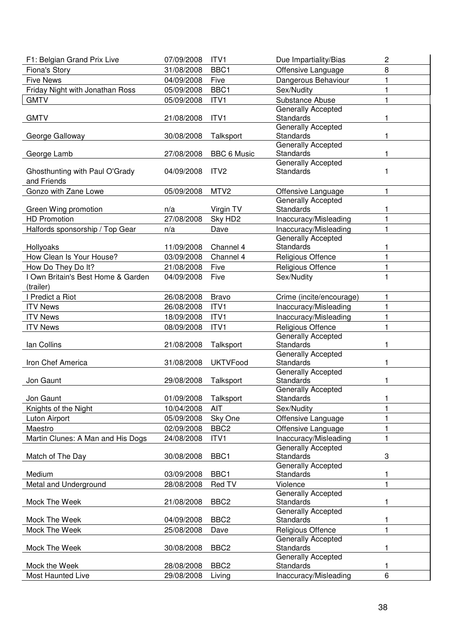| F1: Belgian Grand Prix Live                   | 07/09/2008 | ITV1                | Due Impartiality/Bias                         | 2           |
|-----------------------------------------------|------------|---------------------|-----------------------------------------------|-------------|
| Fiona's Story                                 | 31/08/2008 | BBC1                | Offensive Language                            | 8           |
| <b>Five News</b>                              | 04/09/2008 | Five                | Dangerous Behaviour                           | 1           |
| Friday Night with Jonathan Ross               | 05/09/2008 | BBC1                | Sex/Nudity                                    | 1           |
| <b>GMTV</b>                                   | 05/09/2008 | ITV1                | Substance Abuse                               | 1           |
| <b>GMTV</b>                                   | 21/08/2008 | ITV1                | Generally Accepted<br><b>Standards</b>        | 1           |
| George Galloway                               | 30/08/2008 | Talksport           | Generally Accepted<br><b>Standards</b>        | 1           |
| George Lamb                                   | 27/08/2008 | <b>BBC 6 Music</b>  | <b>Generally Accepted</b><br><b>Standards</b> | 1           |
| Ghosthunting with Paul O'Grady<br>and Friends | 04/09/2008 | ITV <sub>2</sub>    | Generally Accepted<br><b>Standards</b>        | 1           |
| Gonzo with Zane Lowe                          | 05/09/2008 | MTV <sub>2</sub>    | Offensive Language                            | 1           |
| Green Wing promotion                          | n/a        | Virgin TV           | <b>Generally Accepted</b><br><b>Standards</b> | 1           |
| <b>HD Promotion</b>                           | 27/08/2008 | Sky HD <sub>2</sub> | Inaccuracy/Misleading                         | 1           |
| Halfords sponsorship / Top Gear               | n/a        | Dave                | Inaccuracy/Misleading                         | 1           |
| Hollyoaks                                     | 11/09/2008 | Channel 4           | <b>Generally Accepted</b><br>Standards        | 1           |
| How Clean Is Your House?                      | 03/09/2008 | Channel 4           | Religious Offence                             | 1           |
| How Do They Do It?                            | 21/08/2008 | Five                | Religious Offence                             | 1           |
| I Own Britain's Best Home & Garden            | 04/09/2008 | Five                | Sex/Nudity                                    | 1           |
| (trailer)                                     |            |                     |                                               |             |
| I Predict a Riot                              | 26/08/2008 | <b>Bravo</b>        | Crime (incite/encourage)                      | 1           |
| <b>ITV News</b>                               | 26/08/2008 | ITV1                | Inaccuracy/Misleading                         | 1           |
| <b>ITV News</b>                               | 18/09/2008 | ITV1                | Inaccuracy/Misleading                         | 1           |
| <b>ITV News</b>                               | 08/09/2008 | ITV1                | Religious Offence                             | 1           |
|                                               |            |                     | Generally Accepted                            |             |
| Ian Collins                                   | 21/08/2008 | Talksport           | <b>Standards</b><br>Generally Accepted        | 1           |
| Iron Chef America                             | 31/08/2008 | <b>UKTVFood</b>     | Standards                                     | 1           |
| Jon Gaunt                                     | 29/08/2008 | Talksport           | <b>Generally Accepted</b><br><b>Standards</b> | 1           |
| Jon Gaunt                                     | 01/09/2008 |                     | Generally Accepted<br><b>Standards</b>        | 1           |
| Knights of the Night                          | 10/04/2008 | Talksport<br>AIT    | Sex/Nudity                                    | 1           |
| Luton Airport                                 | 05/09/2008 | Sky One             | Offensive Language                            | 1           |
| Maestro                                       | 02/09/2008 | BBC <sub>2</sub>    | Offensive Language                            | 1           |
| Martin Clunes: A Man and His Dogs             | 24/08/2008 | ITV1                | Inaccuracy/Misleading                         | 1           |
|                                               |            |                     | Generally Accepted                            |             |
| Match of The Day                              | 30/08/2008 | BBC1                | <b>Standards</b>                              | 3           |
|                                               |            |                     | <b>Generally Accepted</b>                     |             |
| Medium                                        | 03/09/2008 | BBC1                | <b>Standards</b>                              | 1           |
| Metal and Underground                         | 28/08/2008 | Red TV              | Violence                                      | $\mathbf 1$ |
|                                               |            |                     | Generally Accepted                            |             |
| Mock The Week                                 | 21/08/2008 | BBC <sub>2</sub>    | <b>Standards</b><br>Generally Accepted        | 1           |
| Mock The Week                                 | 04/09/2008 | BBC <sub>2</sub>    | <b>Standards</b>                              | 1           |
| Mock The Week                                 | 25/08/2008 | Dave                | Religious Offence                             | $\mathbf 1$ |
|                                               |            |                     | <b>Generally Accepted</b>                     |             |
| Mock The Week                                 | 30/08/2008 | BBC <sub>2</sub>    | <b>Standards</b>                              | 1           |
|                                               |            |                     | Generally Accepted                            |             |
| Mock the Week                                 | 28/08/2008 | BBC <sub>2</sub>    | Standards                                     |             |
| Most Haunted Live                             | 29/08/2008 | Living              | Inaccuracy/Misleading                         | 6           |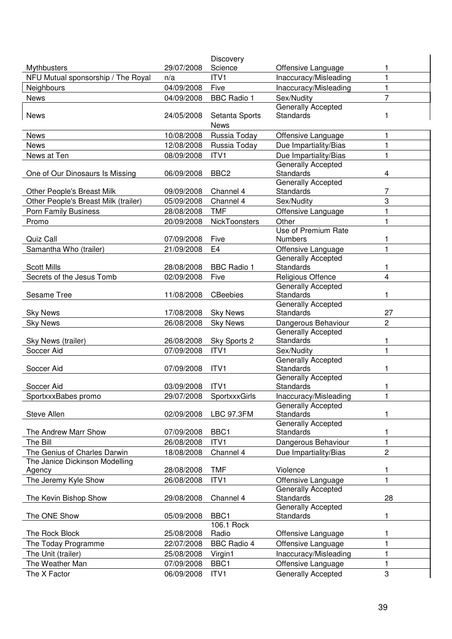|                                      |                          | Discovery                |                                                 |        |
|--------------------------------------|--------------------------|--------------------------|-------------------------------------------------|--------|
| Mythbusters                          | 29/07/2008               | Science                  | Offensive Language                              |        |
| NFU Mutual sponsorship / The Royal   | n/a                      | ITV1                     | Inaccuracy/Misleading                           |        |
| Neighbours                           | 04/09/2008               | Five                     | Inaccuracy/Misleading                           | 1      |
| <b>News</b>                          | 04/09/2008               | <b>BBC Radio 1</b>       | Sex/Nudity                                      | 7      |
|                                      |                          |                          | <b>Generally Accepted</b>                       |        |
| <b>News</b>                          | 24/05/2008               | Setanta Sports           | <b>Standards</b>                                |        |
|                                      |                          | <b>News</b>              |                                                 |        |
| <b>News</b>                          | 10/08/2008               | Russia Today             | Offensive Language                              |        |
| <b>News</b>                          | 12/08/2008               | Russia Today             | Due Impartiality/Bias                           |        |
| News at Ten                          | 08/09/2008               | ITV1                     | Due Impartiality/Bias                           |        |
|                                      |                          |                          | <b>Generally Accepted</b>                       |        |
| One of Our Dinosaurs Is Missing      | 06/09/2008               | BBC <sub>2</sub>         | <b>Standards</b>                                | 4      |
| Other People's Breast Milk           | 09/09/2008               | Channel 4                | Generally Accepted<br>Standards                 | 7      |
| Other People's Breast Milk (trailer) | 05/09/2008               | Channel 4                | Sex/Nudity                                      | 3      |
| <b>Porn Family Business</b>          | 28/08/2008               | <b>TMF</b>               |                                                 |        |
|                                      |                          |                          | Offensive Language<br>Other                     |        |
| Promo                                | 20/09/2008               | NickToonsters            | Use of Premium Rate                             |        |
| Quiz Call                            | 07/09/2008               | Five                     | <b>Numbers</b>                                  |        |
| Samantha Who (trailer)               | 21/09/2008               | E <sub>4</sub>           | Offensive Language                              |        |
|                                      |                          |                          | <b>Generally Accepted</b>                       |        |
| <b>Scott Mills</b>                   | 28/08/2008               | <b>BBC Radio 1</b>       | <b>Standards</b>                                |        |
| Secrets of the Jesus Tomb            | 02/09/2008               | Five                     | Religious Offence                               | 4      |
|                                      |                          |                          | Generally Accepted                              |        |
| Sesame Tree                          | 11/08/2008               | <b>CBeebies</b>          | <b>Standards</b>                                | 1      |
|                                      |                          |                          | Generally Accepted                              |        |
| <b>Sky News</b>                      | 17/08/2008               | <b>Sky News</b>          | Standards                                       | 27     |
| <b>Sky News</b>                      | 26/08/2008               | <b>Sky News</b>          | Dangerous Behaviour                             | 2      |
|                                      |                          |                          | <b>Generally Accepted</b>                       |        |
| Sky News (trailer)                   | 26/08/2008               | Sky Sports 2             | <b>Standards</b>                                |        |
|                                      |                          |                          | Sex/Nudity                                      |        |
| Soccer Aid                           | 07/09/2008               | ITV1                     |                                                 |        |
|                                      |                          |                          | Generally Accepted                              |        |
| Soccer Aid                           | 07/09/2008               | ITV1                     | <b>Standards</b>                                |        |
|                                      |                          |                          | Generally Accepted                              |        |
| Soccer Aid                           | 03/09/2008               | ITV1                     | <b>Standards</b>                                |        |
| SportxxxBabes promo                  |                          | 29/07/2008 SportxxxGirls | Inaccuracy/Misleading                           |        |
|                                      |                          |                          | <b>Generally Accepted</b>                       |        |
| Steve Allen                          | 02/09/2008               | <b>LBC 97.3FM</b>        | <b>Standards</b>                                |        |
| The Andrew Marr Show                 | 07/09/2008               | BBC <sub>1</sub>         | Generally Accepted<br><b>Standards</b>          |        |
| The Bill                             | 26/08/2008               | ITV1                     | Dangerous Behaviour                             | 1      |
| The Genius of Charles Darwin         | 18/08/2008               | Channel 4                | Due Impartiality/Bias                           | 2      |
| The Janice Dickinson Modelling       |                          |                          |                                                 |        |
| Agency                               | 28/08/2008               | <b>TMF</b>               | Violence                                        |        |
| The Jeremy Kyle Show                 | 26/08/2008               | ITV1                     | Offensive Language                              | 1      |
|                                      |                          |                          | Generally Accepted                              |        |
| The Kevin Bishop Show                | 29/08/2008               | Channel 4                | Standards                                       | 28     |
|                                      |                          |                          | Generally Accepted                              |        |
| The ONE Show                         | 05/09/2008               | BBC <sub>1</sub>         | <b>Standards</b>                                | 1      |
|                                      |                          | 106.1 Rock               |                                                 |        |
| The Rock Block                       | 25/08/2008               | Radio                    | Offensive Language                              | 1      |
| The Today Programme                  | 22/07/2008               | <b>BBC Radio 4</b>       | Offensive Language                              | 1      |
| The Unit (trailer)                   | 25/08/2008               | Virgin1                  | Inaccuracy/Misleading                           | 1      |
| The Weather Man<br>The X Factor      | 07/09/2008<br>06/09/2008 | BBC1<br>ITV1             | Offensive Language<br><b>Generally Accepted</b> | 1<br>3 |